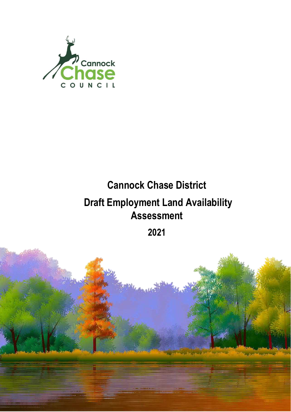

# **Cannock Chase District Draft Employment Land Availability Assessment**

**2021**

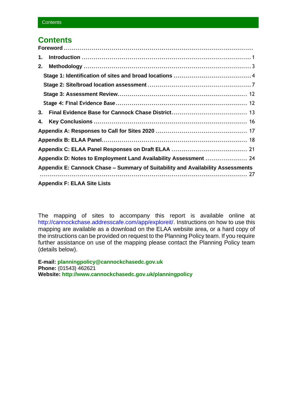## **Contents**

| 1. |                                                                                 |  |
|----|---------------------------------------------------------------------------------|--|
| 2. |                                                                                 |  |
|    |                                                                                 |  |
|    |                                                                                 |  |
|    |                                                                                 |  |
|    |                                                                                 |  |
| 3. |                                                                                 |  |
| 4. |                                                                                 |  |
|    |                                                                                 |  |
|    |                                                                                 |  |
|    |                                                                                 |  |
|    | Appendix D: Notes to Employment Land Availability Assessment  24                |  |
|    | Appendix E: Cannock Chase – Summary of Suitability and Availability Assessments |  |
|    | <b>Appendix F: ELAA Site Lists</b>                                              |  |

The mapping of sites to accompany this report is available online at [http://cannockchase.addresscafe.com/app/exploreit/.](http://cannockchase.addresscafe.com/app/exploreit/) Instructions on how to use this mapping are available as a download on the ELAA website area, or a hard copy of the instructions can be provided on request to the Planning Policy team. If you require further assistance on use of the mapping please contact the Planning Policy team (details below).

**E-mail: planningpolicy@cannockchasedc.gov.uk Phone:** (01543) 462621 **Website:<http://www.cannockchasedc.gov.uk/planningpolicy>**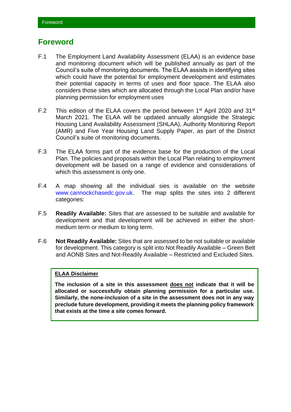## <span id="page-2-0"></span>**Foreword**

- F.1 The Employment Land Availability Assessment (ELAA) is an evidence base and monitoring document which will be published annually as part of the Council's suite of monitoring documents. The ELAA assists in identifying sites which could have the potential for employment development and estimates their potential capacity in terms of uses and floor space. The ELAA also considers those sites which are allocated through the Local Plan and/or have planning permission for employment uses
- F.2 This edition of the ELAA covers the period between  $1<sup>st</sup>$  April 2020 and 31 $<sup>st</sup>$ </sup> March 2021. The ELAA will be updated annually alongside the Strategic Housing Land Availability Assessment (SHLAA), Authority Monitoring Report (AMR) and Five Year Housing Land Supply Paper, as part of the District Council's suite of monitoring documents.
- F.3 The ELAA forms part of the evidence base for the production of the Local Plan. The policies and proposals within the Local Plan relating to employment development will be based on a range of evidence and considerations of which this assessment is only one.
- F.4 A map showing all the individual sies is available on the website [www.cannockchasedc.gov.uk.](http://www.cannockchasedc.gov.uk/) The map splits the sites into 2 different categories:
- F.5 **Readily Available:** Sites that are assessed to be suitable and available for development and that development will be achieved in either the shortmedium term or medium to long term.
- F.6 **Not Readily Available:** Sites that are assessed to be not suitable or available for development. This category is split into Not Readily Available – Green Belt and AONB Sites and Not-Readily Available – Restricted and Excluded Sites.

### **ELAA Disclaimer**

**The inclusion of a site in this assessment does not indicate that it will be allocated or successfully obtain planning permission for a particular use. Similarly, the none-inclusion of a site in the assessment does not in any way preclude future development, providing it meets the planning policy framework that exists at the time a site comes forward.**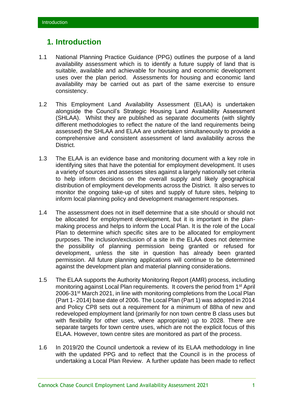## <span id="page-3-0"></span>**1. Introduction**

- 1.1 National Planning Practice Guidance (PPG) outlines the purpose of a land availability assessment which is to identify a future supply of land that is suitable, available and achievable for housing and economic development uses over the plan period. Assessments for housing and economic land availability may be carried out as part of the same exercise to ensure consistency.
- 1.2 This Employment Land Availability Assessment (ELAA) is undertaken alongside the Council's Strategic Housing Land Availability Assessment (SHLAA). Whilst they are published as separate documents (with slightly different methodologies to reflect the nature of the land requirements being assessed) the SHLAA and ELAA are undertaken simultaneously to provide a comprehensive and consistent assessment of land availability across the District.
- 1.3 The ELAA is an evidence base and monitoring document with a key role in identifying sites that have the potential for employment development. It uses a variety of sources and assesses sites against a largely nationally set criteria to help inform decisions on the overall supply and likely geographical distribution of employment developments across the District. It also serves to monitor the ongoing take-up of sites and supply of future sites, helping to inform local planning policy and development management responses.
- 1.4 The assessment does not in itself determine that a site should or should not be allocated for employment development, but it is important in the planmaking process and helps to inform the Local Plan. It is the role of the Local Plan to determine which specific sites are to be allocated for employment purposes. The inclusion/exclusion of a site in the ELAA does not determine the possibility of planning permission being granted or refused for development, unless the site in question has already been granted permission. All future planning applications will continue to be determined against the development plan and material planning considerations.
- 1.5 The ELAA supports the Authority Monitoring Report (AMR) process, including monitoring against Local Plan requirements. It covers the period from 1st April 2006-31st March 2021, in line with monitoring completions from the Local Plan (Part 1- 2014) base date of 2006. The Local Plan (Part 1) was adopted in 2014 and Policy CP8 sets out a requirement for a minimum of 88ha of new and redeveloped employment land (primarily for non town centre B class uses but with flexibility for other uses, where appropriate) up to 2028. There are separate targets for town centre uses, which are not the explicit focus of this ELAA. However, town centre sites are monitored as part of the process.
- 1.6 In 2019/20 the Council undertook a review of its ELAA methodology in line with the updated PPG and to reflect that the Council is in the process of undertaking a Local Plan Review. A further update has been made to reflect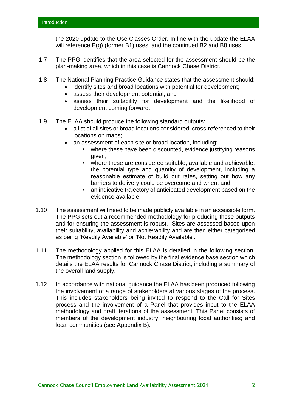the 2020 update to the Use Classes Order. In line with the update the ELAA will reference E(g) (former B1) uses, and the continued B2 and B8 uses.

- 1.7 The PPG identifies that the area selected for the assessment should be the plan-making area, which in this case is Cannock Chase District.
- 1.8 The National Planning Practice Guidance states that the assessment should:
	- identify sites and broad locations with potential for development;
	- assess their development potential; and
	- assess their suitability for development and the likelihood of development coming forward.
- 1.9 The ELAA should produce the following standard outputs:
	- a list of all sites or broad locations considered, cross-referenced to their locations on maps;
	- an assessment of each site or broad location, including:
		- where these have been discounted, evidence justifying reasons given;
		- where these are considered suitable, available and achievable, the potential type and quantity of development, including a reasonable estimate of build out rates, setting out how any barriers to delivery could be overcome and when; and
		- an indicative trajectory of anticipated development based on the evidence available.
- 1.10 The assessment will need to be made publicly available in an accessible form. The PPG sets out a recommended methodology for producing these outputs and for ensuring the assessment is robust. Sites are assessed based upon their suitability, availability and achievability and are then either categorised as being 'Readily Available' or 'Not Readily Available'.
- 1.11 The methodology applied for this ELAA is detailed in the following section. The methodology section is followed by the final evidence base section which details the ELAA results for Cannock Chase District, including a summary of the overall land supply.
- 1.12 In accordance with national guidance the ELAA has been produced following the involvement of a range of stakeholders at various stages of the process. This includes stakeholders being invited to respond to the Call for Sites process and the involvement of a Panel that provides input to the ELAA methodology and draft iterations of the assessment. This Panel consists of members of the development industry; neighbouring local authorities; and local communities (see Appendix B).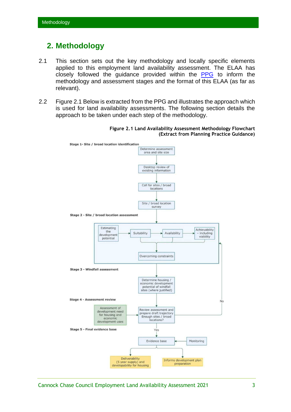## <span id="page-5-0"></span>**2. Methodology**

- 2.1 This section sets out the key methodology and locally specific elements applied to this employment land availability assessment. The ELAA has closely followed the guidance provided within the [PPG](https://www.gov.uk/government/collections/planning-practice-guidance) to inform the methodology and assessment stages and the format of this ELAA (as far as relevant).
- 2.2 Figure 2.1 Below is extracted from the PPG and illustrates the approach which is used for land availability assessments. The following section details the approach to be taken under each step of the methodology.



**Figure 2.1 Land Availability Assessment Methodology Flowchart (Extract from Planning Practice Guidance)**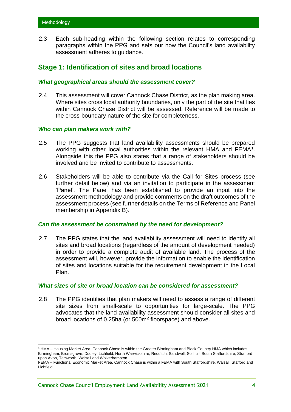2.3 Each sub-heading within the following section relates to corresponding paragraphs within the PPG and sets our how the Council's land availability assessment adheres to guidance.

## <span id="page-6-0"></span>**Stage 1: Identification of sites and broad locations**

### *What geographical areas should the assessment cover?*

2.4 This assessment will cover Cannock Chase District, as the plan making area. Where sites cross local authority boundaries, only the part of the site that lies within Cannock Chase District will be assessed. Reference will be made to the cross-boundary nature of the site for completeness.

### *Who can plan makers work with?*

- 2.5 The PPG suggests that land availability assessments should be prepared working with other local authorities within the relevant HMA and FEMA<sup>1</sup>. Alongside this the PPG also states that a range of stakeholders should be involved and be invited to contribute to assessments.
- 2.6 Stakeholders will be able to contribute via the Call for Sites process (see further detail below) and via an invitation to participate in the assessment 'Panel'. The Panel has been established to provide an input into the assessment methodology and provide comments on the draft outcomes of the assessment process (see further details on the Terms of Reference and Panel membership in Appendix B).

### *Can the assessment be constrained by the need for development?*

2.7 The PPG states that the land availability assessment will need to identify all sites and broad locations (regardless of the amount of development needed) in order to provide a complete audit of available land. The process of the assessment will, however, provide the information to enable the identification of sites and locations suitable for the requirement development in the Local Plan.

### *What sizes of site or broad location can be considered for assessment?*

2.8 The PPG identifies that plan makers will need to assess a range of different site sizes from small-scale to opportunities for large-scale. The PPG advocates that the land availability assessment should consider all sites and broad locations of 0.25ha (or 500m<sup>2</sup> floorspace) and above.

<sup>1</sup> HMA – Housing Market Area. Cannock Chase is within the Greater Birmingham and Black Country HMA which includes Birmingham, Bromsgrove, Dudley, Lichfield, North Warwickshire, Redditch, Sandwell, Solihull, South Staffordshire, Stratford upon Avon, Tamworth, Walsall and Wolverhampton.

FEMA – Functional Economic Market Area. Cannock Chase is within a FEMA with South Staffordshire, Walsall, Stafford and Lichfield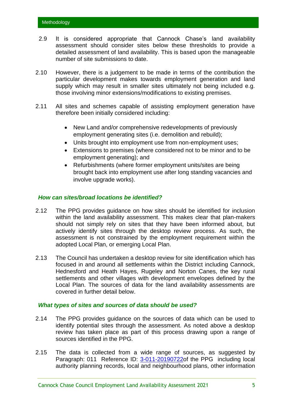- 2.9 It is considered appropriate that Cannock Chase's land availability assessment should consider sites below these thresholds to provide a detailed assessment of land availability. This is based upon the manageable number of site submissions to date.
- 2.10 However, there is a judgement to be made in terms of the contribution the particular development makes towards employment generation and land supply which may result in smaller sites ultimately not being included e.g. those involving minor extensions/modifications to existing premises.
- 2.11 All sites and schemes capable of assisting employment generation have therefore been initially considered including:
	- New Land and/or comprehensive redevelopments of previously employment generating sites (i.e. demolition and rebuild);
	- Units brought into employment use from non-employment uses;
	- Extensions to premises (where considered not to be minor and to be employment generating); and
	- Refurbishments (where former employment units/sites are being brought back into employment use after long standing vacancies and involve upgrade works).

### *How can sites/broad locations be identified?*

- 2.12 The PPG provides guidance on how sites should be identified for inclusion within the land availability assessment. This makes clear that plan-makers should not simply rely on sites that they have been informed about, but actively identify sites through the desktop review process. As such, the assessment is not constrained by the employment requirement within the adopted Local Plan, or emerging Local Plan.
- 2.13 The Council has undertaken a desktop review for site identification which has focused in and around all settlements within the District including Cannock, Hednesford and Heath Hayes, Rugeley and Norton Canes, the key rural settlements and other villages with development envelopes defined by the Local Plan. The sources of data for the land availability assessments are covered in further detail below.

### *What types of sites and sources of data should be used?*

- 2.14 The PPG provides guidance on the sources of data which can be used to identify potential sites through the assessment. As noted above a desktop review has taken place as part of this process drawing upon a range of sources identified in the PPG.
- 2.15 The data is collected from a wide range of sources, as suggested by Paragraph: 011 Reference ID: [3-011-20190722o](https://assets.publishing.service.gov.uk/government/uploads/system/uploads/attachment_data/file/820367/190718_paragraph_012_table_PUBLICATION_FINAL.pdf)f the PPG including local authority planning records, local and neighbourhood plans, other information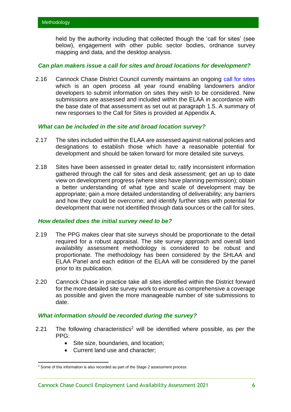held by the authority including that collected though the 'call for sites' (see below), engagement with other public sector bodies, ordnance survey mapping and data, and the desktop analysis.

### *Can plan makers issue a call for sites and broad locations for development?*

2.16 Cannock Chase District Council currently maintains an ongoing [call for sites](https://www.cannockchasedc.gov.uk/residents/planning/planning-policy/planning-policy-monitoring) which is an open process all year round enabling landowners and/or developers to submit information on sites they wish to be considered. New submissions are assessed and included within the ELAA in accordance with the base date of that assessment as set out at paragraph 1.5. A summary of new responses to the Call for Sites is provided at Appendix A.

### *What can be included in the site and broad location survey?*

- 2.17 The sites included within the ELAA are assessed against national policies and designations to establish those which have a reasonable potential for development and should be taken forward for more detailed site surveys.
- 2.18 Sites have been assessed in greater detail to; ratify inconsistent information gathered through the call for sites and desk assessment; get an up to date view on development progress (where sites have planning permission); obtain a better understanding of what type and scale of development may be appropriate; gain a more detailed understanding of deliverability; any barriers and how they could be overcome; and identify further sites with potential for development that were not identified through data sources or the call for sites.

### *How detailed does the initial survey need to be?*

- 2.19 The PPG makes clear that site surveys should be proportionate to the detail required for a robust appraisal. The site survey approach and overall land availability assessment methodology is considered to be robust and proportionate. The methodology has been considered by the SHLAA and ELAA Panel and each edition of the ELAA will be considered by the panel prior to its publication.
- 2.20 Cannock Chase in practice take all sites identified within the District forward for the more detailed site survey work to ensure as comprehensive a coverage as possible and given the more manageable number of site submissions to date.

### *What information should be recorded during the survey?*

- 2.21 The following characteristics<sup>2</sup> will be identified where possible, as per the PPG:
	- Site size, boundaries, and location;
	- Current land use and character;

<sup>&</sup>lt;sup>2</sup> Some of this information is also recorded as part of the Stage 2 assessment process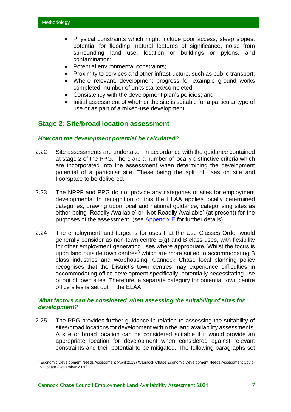- Physical constraints which might include poor access, steep slopes, potential for flooding, natural features of significance, noise from surrounding land use, location or buildings or pylons, and contamination;
- Potential environmental constraints;
- Proximity to services and other infrastructure, such as public transport:
- Where relevant, development progress for example ground works completed, number of units started/completed;
- Consistency with the development plan's policies; and
- Initial assessment of whether the site is suitable for a particular type of use or as part of a mixed-use development.

## <span id="page-9-0"></span>**Stage 2: Site/broad location assessment**

### *How can the development potential be calculated?*

- 2.22 Site assessments are undertaken in accordance with the guidance contained at stage 2 of the PPG. There are a number of locally distinctive criteria which are incorporated into the assessment when determining the development potential of a particular site. These being the split of uses on site and floorspace to be delivered.
- 2.23 The NPPF and PPG do not provide any categories of sites for employment developments. In recognition of this the ELAA applies locally determined categories, drawing upon local and national guidance, categorising sites as either being 'Readily Available' or 'Not Readily Available' (at present) for the purposes of the assessment. (see [Appendix E](#page-29-0) for further details).
- 2.24 The employment land target is for uses that the Use Classes Order would generally consider as non-town centre E(g) and B class uses, with flexibility for other employment generating uses where appropriate. Whilst the focus is upon land outside town centres<sup>3</sup> which are more suited to accommodating B class industries and warehousing. Cannock Chase local planning policy recognises that the District's town centres may experience difficulties in accommodating office development specifically, potentially necessitating use of out of town sites. Therefore, a separate category for potential town centre office sites is set out in the ELAA.

### *What factors can be considered when assessing the suitability of sites for development?*

2.25 The PPG provides further guidance in relation to assessing the suitability of sites/broad locations for development within the land availability assessments. A site or broad location can be considered suitable if it would provide an appropriate location for development when considered against relevant constraints and their potential to be mitigated. The following paragraphs set

<sup>3</sup> Economic Development Needs Assessment (April 2019) /Cannock Chase Economic Development Needs Assessment Covid-19 Update (November 2020)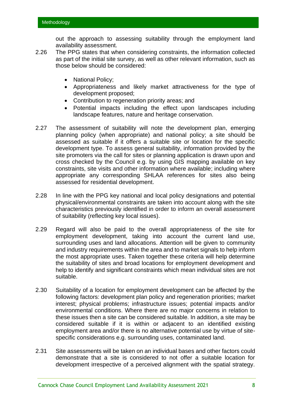out the approach to assessing suitability through the employment land availability assessment.

- 2.26 The PPG states that when considering constraints, the information collected as part of the initial site survey, as well as other relevant information, such as those below should be considered:
	- National Policy;
	- Appropriateness and likely market attractiveness for the type of development proposed;
	- Contribution to regeneration priority areas; and
	- Potential impacts including the effect upon landscapes including landscape features, nature and heritage conservation.
- 2.27 The assessment of suitability will note the development plan, emerging planning policy (when appropriate) and national policy; a site should be assessed as suitable if it offers a suitable site or location for the specific development type. To assess general suitability, information provided by the site promoters via the call for sites or planning application is drawn upon and cross checked by the Council e.g. by using GIS mapping available on key constraints, site visits and other information where available; including where appropriate any corresponding SHLAA references for sites also being assessed for residential development.
- 2.28 In line with the PPG key national and local policy designations and potential physical/environmental constraints are taken into account along with the site characteristics previously identified in order to inform an overall assessment of suitability (reflecting key local issues).
- 2.29 Regard will also be paid to the overall appropriateness of the site for employment development, taking into account the current land use, surrounding uses and land allocations. Attention will be given to community and industry requirements within the area and to market signals to help inform the most appropriate uses. Taken together these criteria will help determine the suitability of sites and broad locations for employment development and help to identify and significant constraints which mean individual sites are not suitable.
- 2.30 Suitability of a location for employment development can be affected by the following factors: development plan policy and regeneration priorities; market interest; physical problems; infrastructure issues; potential impacts and/or environmental conditions. Where there are no major concerns in relation to these issues then a site can be considered suitable. In addition, a site may be considered suitable if it is within or adjacent to an identified existing employment area and/or there is no alternative potential use by virtue of sitespecific considerations e.g. surrounding uses, contaminated land.
- 2.31 Site assessments will be taken on an individual bases and other factors could demonstrate that a site is considered to not offer a suitable location for development irrespective of a perceived alignment with the spatial strategy.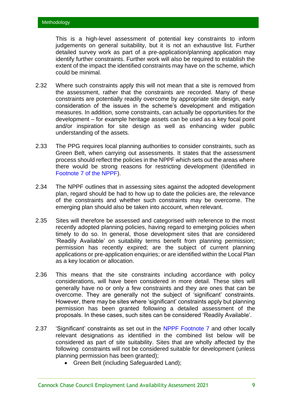This is a high-level assessment of potential key constraints to inform judgements on general suitability, but it is not an exhaustive list. Further detailed survey work as part of a pre-application/planning application may identify further constraints. Further work will also be required to establish the extent of the impact the identified constraints may have on the scheme, which could be minimal.

- 2.32 Where such constraints apply this will not mean that a site is removed from the assessment, rather that the constraints are recorded. Many of these constraints are potentially readily overcome by appropriate site design, early consideration of the issues in the scheme's development and mitigation measures. In addition, some constraints, can actually be opportunities for the development – for example heritage assets can be used as a key focal point and/or inspiration for site design as well as enhancing wider public understanding of the assets.
- 2.33 The PPG requires local planning authorities to consider constraints, such as Green Belt, when carrying out assessments. It states that the assessment process should reflect the policies in the NPPF which sets out the areas where there would be strong reasons for restricting development (Identified in Footnote 7 [of the NPPF\)](https://www.gov.uk/guidance/national-planning-policy-framework/2-achieving-sustainable-development).
- 2.34 The NPPF outlines that in assessing sites against the adopted development plan, regard should be had to how up to date the policies are, the relevance of the constraints and whether such constraints may be overcome. The emerging plan should also be taken into account, when relevant.
- 2.35 Sites will therefore be assessed and categorised with reference to the most recently adopted planning policies, having regard to emerging policies when timely to do so. In general, those development sites that are considered 'Readily Available' on suitability terms benefit from planning permission; permission has recently expired; are the subject of current planning applications or pre-application enquiries; or are identified within the Local Plan as a key location or allocation.
- 2.36 This means that the site constraints including accordance with policy considerations, will have been considered in more detail. These sites will generally have no or only a few constraints and they are ones that can be overcome. They are generally not the subject of 'significant' constraints. However, there may be sites where 'significant' constraints apply but planning permission has been granted following a detailed assessment of the proposals. In these cases, such sites can be considered 'Readily Available'.
- 2.37 'Significant' constraints as set out in the [NPPF Footnote 7](https://www.gov.uk/guidance/national-planning-policy-framework/2-achieving-sustainable-development) and other locally relevant designations as identified in the combined list below will be considered as part of site suitability. Sites that are wholly affected by the following constraints will not be considered suitable for development (unless planning permission has been granted);
	- Green Belt (including Safeguarded Land);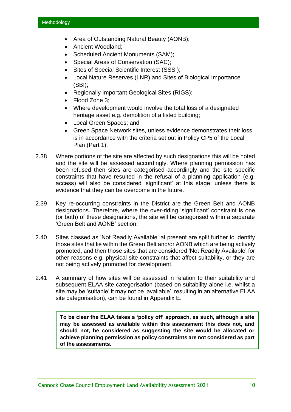- Area of Outstanding Natural Beauty (AONB);
- Ancient Woodland:
- Scheduled Ancient Monuments (SAM);
- Special Areas of Conservation (SAC);
- Sites of Special Scientific Interest (SSSI);
- Local Nature Reserves (LNR) and Sites of Biological Importance (SBI);
- Regionally Important Geological Sites (RIGS);
- Flood Zone 3;
- Where development would involve the total loss of a designated heritage asset e.g. demolition of a listed building;
- Local Green Spaces; and
- Green Space Network sites, unless evidence demonstrates their loss is in accordance with the criteria set out in Policy CP5 of the Local Plan (Part 1).
- 2.38 Where portions of the site are affected by such designations this will be noted and the site will be assessed accordingly. Where planning permission has been refused then sites are categorised accordingly and the site specific constraints that have resulted in the refusal of a planning application (e.g. access) will also be considered 'significant' at this stage, unless there is evidence that they can be overcome in the future.
- 2.39 Key re-occurring constraints in the District are the Green Belt and AONB designations. Therefore, where the over-riding 'significant' constraint is one (or both) of these designations, the site will be categorised within a separate 'Green Belt and AONB' section.
- 2.40 Sites classed as 'Not Readily Available' at present are split further to identify those sites that lie within the Green Belt and/or AONB which are being actively promoted, and then those sites that are considered 'Not Readily Available' for other reasons e.g. physical site constraints that affect suitability, or they are not being actively promoted for development.
- 2.41 A summary of how sites will be assessed in relation to their suitability and subsequent ELAA site categorisation (based on suitability alone i.e. whilst a site may be 'suitable' it may not be 'available', resulting in an alternative ELAA site categorisation), can be found in Appendix E.

**To be clear the ELAA takes a 'policy off' approach, as such, although a site may be assessed as available within this assessment this does not, and should not, be considered as suggesting the site would be allocated or achieve planning permission as policy constraints are not considered as part of the assessments.**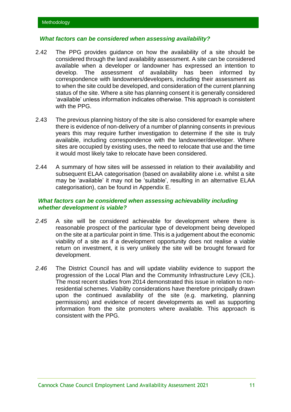### *What factors can be considered when assessing availability?*

- 2.42 The PPG provides guidance on how the availability of a site should be considered through the land availability assessment. A site can be considered available when a developer or landowner has expressed an intention to develop. The assessment of availability has been informed by correspondence with landowners/developers, including their assessment as to when the site could be developed, and consideration of the current planning status of the site. Where a site has planning consent it is generally considered 'available' unless information indicates otherwise. This approach is consistent with the PPG.
- 2.43 The previous planning history of the site is also considered for example where there is evidence of non-delivery of a number of planning consents in previous years this may require further investigation to determine if the site is truly available, including correspondence with the landowner/developer. Where sites are occupied by existing uses, the need to relocate that use and the time it would most likely take to relocate have been considered.
- 2.44 A summary of how sites will be assessed in relation to their availability and subsequent ELAA categorisation (based on availability alone i.e. whilst a site may be 'available' it may not be 'suitable', resulting in an alternative ELAA categorisation), can be found in Appendix E.

### *What factors can be considered when assessing achievability including whether development is viable?*

- *2.45* A site will be considered achievable for development where there is reasonable prospect of the particular type of development being developed on the site at a particular point in time. This is a judgement about the economic viability of a site as if a development opportunity does not realise a viable return on investment, it is very unlikely the site will be brought forward for development.
- *2.46* The District Council has and will update viability evidence to support the progression of the Local Plan and the Community Infrastructure Levy (CIL). The most recent studies from 2014 demonstrated this issue in relation to nonresidential schemes. Viability considerations have therefore principally drawn upon the continued availability of the site (e.g. marketing, planning permissions) and evidence of recent developments as well as supporting information from the site promoters where available. This approach is consistent with the PPG.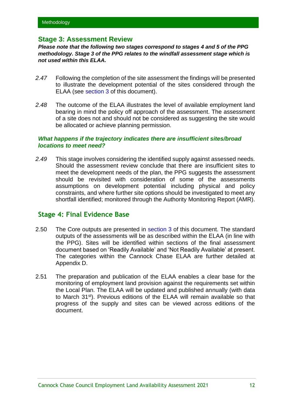## <span id="page-14-0"></span>**Stage 3: Assessment Review**

*Please note that the following two stages correspond to stages 4 and 5 of the PPG methodology. Stage 3 of the PPG relates to the windfall assessment stage which is not used within this ELAA.*

- *2.47* Following the completion of the site assessment the findings will be presented to illustrate the development potential of the sites considered through the ELAA (see [section 3](#page-15-0) of this document).
- *2.48* The outcome of the ELAA illustrates the level of available employment land bearing in mind the policy off approach of the assessment. The assessment of a site does not and should not be considered as suggesting the site would be allocated or achieve planning permission.

### *What happens if the trajectory indicates there are insufficient sites/broad locations to meet need?*

*2.49* This stage involves considering the identified supply against assessed needs. Should the assessment review conclude that there are insufficient sites to meet the development needs of the plan, the PPG suggests the assessment should be revisited with consideration of some of the assessments assumptions on development potential including physical and policy constraints, and where further site options should be investigated to meet any shortfall identified; monitored through the Authority Monitoring Report (AMR).

## <span id="page-14-1"></span>**Stage 4: Final Evidence Base**

- 2.50 The Core outputs are presented in [section 3](#page-15-0) of this document. The standard outputs of the assessments will be as described within the ELAA (in line with the PPG). Sites will be identified within sections of the final assessment document based on 'Readily Available' and 'Not Readily Available' at present. The categories within the Cannock Chase ELAA are further detailed at Appendix D.
- 2.51 The preparation and publication of the ELAA enables a clear base for the monitoring of employment land provision against the requirements set within the Local Plan. The ELAA will be updated and published annually (with data to March 31st). Previous editions of the ELAA will remain available so that progress of the supply and sites can be viewed across editions of the document.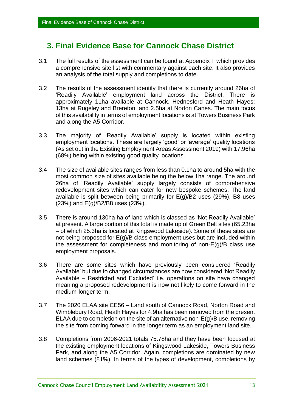## <span id="page-15-0"></span>**3. Final Evidence Base for Cannock Chase District**

- 3.1 The full results of the assessment can be found at Appendix F which provides a comprehensive site list with commentary against each site. It also provides an analysis of the total supply and completions to date.
- 3.2 The results of the assessment identify that there is currently around 26ha of 'Readily Available' employment land across the District. There is approximately 11ha available at Cannock, Hednesford and Heath Hayes; 13ha at Rugeley and Brereton; and 2.5ha at Norton Canes. The main focus of this availability in terms of employment locations is at Towers Business Park and along the A5 Corridor.
- 3.3 The majority of 'Readily Available' supply is located within existing employment locations. These are largely 'good' or 'average' quality locations (As set out in the Existing Employment Areas Assessment 2019) with 17.96ha (68%) being within existing good quality locations.
- 3.4 The size of available sites ranges from less than 0.1ha to around 5ha with the most common size of sites available being the below 1ha range. The around 26ha of 'Readily Available' supply largely consists of comprehensive redevelopment sites which can cater for new bespoke schemes. The land available is split between being primarily for  $E(g)/B2$  uses (29%), B8 uses (23%) and E(g)/B2/B8 uses (23%).
- 3.5 There is around 130ha ha of land which is classed as 'Not Readily Available' at present. A large portion of this total is made up of Green Belt sites (65.23ha – of which 25.3ha is located at Kingswood Lakeside). Some of these sites are not being proposed for  $E(g)/B$  class employment uses but are included within the assessment for completeness and monitoring of non-E(g)/B class use employment proposals.
- 3.6 There are some sites which have previously been considered 'Readily Available' but due to changed circumstances are now considered 'Not Readily Available – Restricted and Excluded' i.e. operations on site have changed meaning a proposed redevelopment is now not likely to come forward in the medium-longer term.
- 3.7 The 2020 ELAA site CE56 Land south of Cannock Road, Norton Road and Wimblebury Road, Heath Hayes for 4.9ha has been removed from the present ELAA due to completion on the site of an alternative non-E(g)/B use, removing the site from coming forward in the longer term as an employment land site.
- 3.8 Completions from 2006-2021 totals 75.78ha and they have been focused at the existing employment locations of Kingswood Lakeside, Towers Business Park, and along the A5 Corridor. Again, completions are dominated by new land schemes (81%). In terms of the types of development, completions by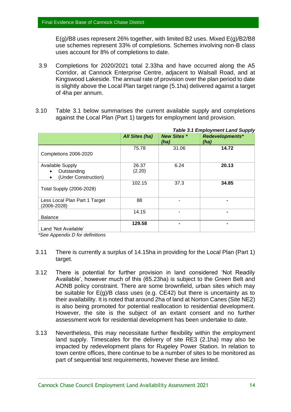E(g)/B8 uses represent 26% together, with limited B2 uses. Mixed E(g)/B2/B8 use schemes represent 33% of completions. Schemes involving non-B class uses account for 8% of completions to date.

- 3.9 Completions for 2020/2021 total 2.33ha and have occurred along the A5 Corridor, at Cannock Enterprise Centre, adjacent to Walsall Road, and at Kingswood Lakeside. The annual rate of provision over the plan period to date is slightly above the Local Plan target range (5.1ha) delivered against a target of 4ha per annum.
- 3.10 Table 3.1 below summarises the current available supply and completions against the Local Plan (Part 1) targets for employment land provision.

|                                                                     |                       |                            | <b>Table 3.1 Employment Land Supply</b> |
|---------------------------------------------------------------------|-----------------------|----------------------------|-----------------------------------------|
|                                                                     | <b>All Sites (ha)</b> | <b>New Sites *</b><br>(ha) | <b>Redevelopments*</b><br>(ha)          |
| Completions 2006-2020                                               | 75.78                 | 31.06                      | 14.72                                   |
| <b>Available Supply</b><br>Outstanding<br>(Under Construction)<br>٠ | 26.37<br>(2.20)       | 6.24                       | 20.13                                   |
| Total Supply (2006-2028)                                            | 102.15                | 37.3                       | 34.85                                   |
| Less Local Plan Part 1 Target<br>(2006-2028)                        | 88                    |                            |                                         |
| <b>Balance</b>                                                      | 14.15                 | $\blacksquare$             |                                         |
| Land 'Not Available'                                                | 129.58                |                            |                                         |

*\*See Appendix D for definitions*

- 3.11 There is currently a surplus of 14.15ha in providing for the Local Plan (Part 1) target.
- 3.12 There is potential for further provision in land considered 'Not Readily Available', however much of this (65.23ha) is subject to the Green Belt and AONB policy constraint. There are some brownfield, urban sites which may be suitable for  $E(g)/B$  class uses (e.g. CE42) but there is uncertainty as to their availability. It is noted that around 2ha of land at Norton Canes (Site NE2) is also being promoted for potential reallocation to residential development. However, the site is the subject of an extant consent and no further assessment work for residential development has been undertake to date.
- 3.13 Nevertheless, this may necessitate further flexibility within the employment land supply. Timescales for the delivery of site RE3 (2.1ha) may also be impacted by redevelopment plans for Rugeley Power Station. In relation to town centre offices, there continue to be a number of sites to be monitored as part of sequential test requirements, however these are limited.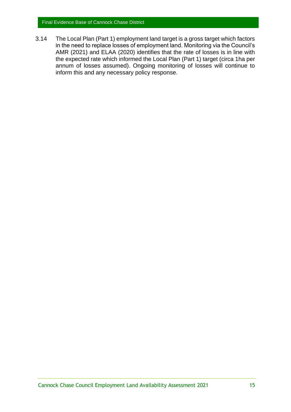3.14 The Local Plan (Part 1) employment land target is a gross target which factors in the need to replace losses of employment land. Monitoring via the Council's AMR (2021) and ELAA (2020) identifies that the rate of losses is in line with the expected rate which informed the Local Plan (Part 1) target (circa 1ha per annum of losses assumed). Ongoing monitoring of losses will continue to inform this and any necessary policy response.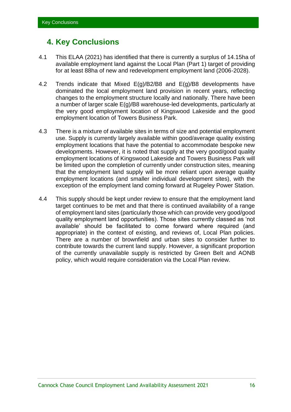## <span id="page-18-0"></span>**4. Key Conclusions**

- 4.1 This ELAA (2021) has identified that there is currently a surplus of 14.15ha of available employment land against the Local Plan (Part 1) target of providing for at least 88ha of new and redevelopment employment land (2006-2028).
- 4.2 Trends indicate that Mixed E(g)/B2/B8 and E(g)/B8 developments have dominated the local employment land provision in recent years, reflecting changes to the employment structure locally and nationally. There have been a number of larger scale E(g)/B8 warehouse-led developments, particularly at the very good employment location of Kingswood Lakeside and the good employment location of Towers Business Park.
- 4.3 There is a mixture of available sites in terms of size and potential employment use. Supply is currently largely available within good/average quality existing employment locations that have the potential to accommodate bespoke new developments. However, it is noted that supply at the very good/good quality employment locations of Kingswood Lakeside and Towers Business Park will be limited upon the completion of currently under construction sites, meaning that the employment land supply will be more reliant upon average quality employment locations (and smaller individual development sites), with the exception of the employment land coming forward at Rugeley Power Station.
- 4.4 This supply should be kept under review to ensure that the employment land target continues to be met and that there is continued availability of a range of employment land sites (particularly those which can provide very good/good quality employment land opportunities). Those sites currently classed as 'not available' should be facilitated to come forward where required (and appropriate) in the context of existing, and reviews of, Local Plan policies. There are a number of brownfield and urban sites to consider further to contribute towards the current land supply. However, a significant proportion of the currently unavailable supply is restricted by Green Belt and AONB policy, which would require consideration via the Local Plan review.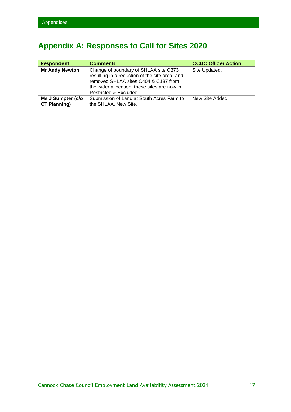## <span id="page-19-0"></span>**Appendix A: Responses to Call for Sites 2020**

| <b>Respondent</b>                        | <b>Comments</b>                                                                                                                                                                                                     | <b>CCDC Officer Action</b> |
|------------------------------------------|---------------------------------------------------------------------------------------------------------------------------------------------------------------------------------------------------------------------|----------------------------|
| <b>Mr Andy Newton</b>                    | Change of boundary of SHLAA site C373<br>resulting in a reduction of the site area, and<br>removed SHLAA sites C404 & C137 from<br>the wider allocation; these sites are now in<br><b>Restricted &amp; Excluded</b> | Site Updated.              |
| Ms J Sumpter (c/o<br><b>CT Planning)</b> | Submission of Land at South Acres Farm to<br>the SHLAA. New Site.                                                                                                                                                   | New Site Added.            |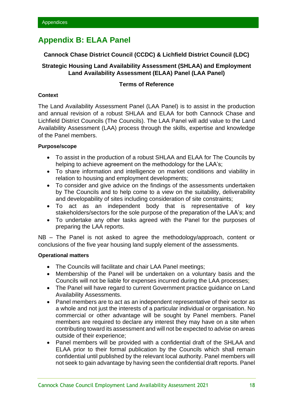## <span id="page-20-0"></span>**Appendix B: ELAA Panel**

### **Cannock Chase District Council (CCDC) & Lichfield District Council (LDC)**

### **Strategic Housing Land Availability Assessment (SHLAA) and Employment Land Availability Assessment (ELAA) Panel (LAA Panel)**

### **Terms of Reference**

### **Context**

The Land Availability Assessment Panel (LAA Panel) is to assist in the production and annual revision of a robust SHLAA and ELAA for both Cannock Chase and Lichfield District Councils (The Councils). The LAA Panel will add value to the Land Availability Assessment (LAA) process through the skills, expertise and knowledge of the Panel members.

### **Purpose/scope**

- To assist in the production of a robust SHLAA and ELAA for The Councils by helping to achieve agreement on the methodology for the LAA's:
- To share information and intelligence on market conditions and viability in relation to housing and employment developments;
- To consider and give advice on the findings of the assessments undertaken by The Councils and to help come to a view on the suitability, deliverability and developability of sites including consideration of site constraints;
- To act as an independent body that is representative of key stakeholders/sectors for the sole purpose of the preparation of the LAA's; and
- To undertake any other tasks agreed with the Panel for the purposes of preparing the LAA reports.

NB – The Panel is not asked to agree the methodology/approach, content or conclusions of the five year housing land supply element of the assessments.

### **Operational matters**

- The Councils will facilitate and chair LAA Panel meetings;
- Membership of the Panel will be undertaken on a voluntary basis and the Councils will not be liable for expenses incurred during the LAA processes;
- The Panel will have regard to current Government practice guidance on Land Availability Assessments.
- Panel members are to act as an independent representative of their sector as a whole and not just the interests of a particular individual or organisation. No commercial or other advantage will be sought by Panel members. Panel members are required to declare any interest they may have on a site when contributing toward its assessment and will not be expected to advise on areas outside of their experience;
- Panel members will be provided with a confidential draft of the SHLAA and ELAA prior to their formal publication by the Councils which shall remain confidential until published by the relevant local authority. Panel members will not seek to gain advantage by having seen the confidential draft reports. Panel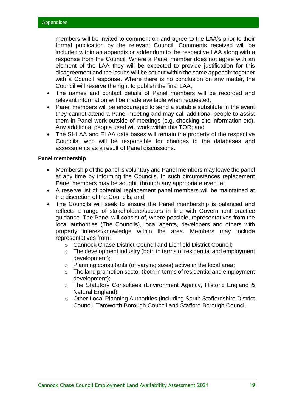members will be invited to comment on and agree to the LAA's prior to their formal publication by the relevant Council. Comments received will be included within an appendix or addendum to the respective LAA along with a response from the Council. Where a Panel member does not agree with an element of the LAA they will be expected to provide justification for this disagreement and the issues will be set out within the same appendix together with a Council response. Where there is no conclusion on any matter, the Council will reserve the right to publish the final LAA;

- The names and contact details of Panel members will be recorded and relevant information will be made available when requested;
- Panel members will be encouraged to send a suitable substitute in the event they cannot attend a Panel meeting and may call additional people to assist them in Panel work outside of meetings (e.g. checking site information etc). Any additional people used will work within this TOR; and
- The SHLAA and ELAA data bases will remain the property of the respective Councils, who will be responsible for changes to the databases and assessments as a result of Panel discussions.

### **Panel membership**

- Membership of the panel is voluntary and Panel members may leave the panel at any time by informing the Councils. In such circumstances replacement Panel members may be sought through any appropriate avenue;
- A reserve list of potential replacement panel members will be maintained at the discretion of the Councils; and
- The Councils will seek to ensure the Panel membership is balanced and reflects a range of stakeholders/sectors in line with Government practice guidance. The Panel will consist of, where possible, representatives from the local authorities (The Councils), local agents, developers and others with property interest/knowledge within the area. Members may include representatives from;
	- o Cannock Chase District Council and Lichfield District Council;
	- $\circ$  The development industry (both in terms of residential and employment development);
	- o Planning consultants (of varying sizes) active in the local area;
	- o The land promotion sector (both in terms of residential and employment development);
	- o The Statutory Consultees (Environment Agency, Historic England & Natural England);
	- o Other Local Planning Authorities (including South Staffordshire District Council, Tamworth Borough Council and Stafford Borough Council.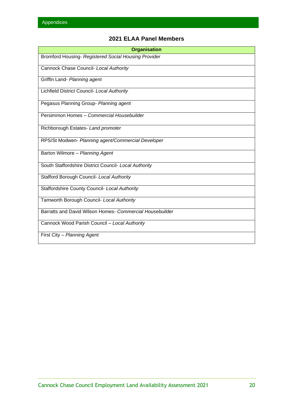## **2021 ELAA Panel Members**

| <b>Organisation</b>                                      |
|----------------------------------------------------------|
| Bromford Housing- Registered Social Housing Provider     |
| Cannock Chase Council- Local Authority                   |
| Griffin Land- Planning agent                             |
| Lichfield District Council- Local Authority              |
| Pegasus Planning Group- Planning agent                   |
| Persimmon Homes - Commercial Housebuilder                |
| Richborough Estates- Land promoter                       |
| RPS/St Modwen- Planning agent/Commercial Developer       |
| Barton Wilmore - Planning Agent                          |
| South Staffordshire District Council- Local Authority    |
| Stafford Borough Council- Local Authority                |
| <b>Staffordshire County Council- Local Authority</b>     |
| Tamworth Borough Council- Local Authority                |
| Barratts and David Wilson Homes- Commercial Housebuilder |
| Cannock Wood Parish Council - Local Authority            |
| First City - Planning Agent                              |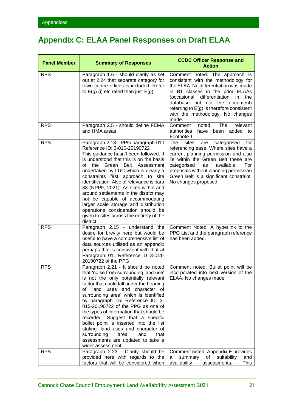## <span id="page-23-0"></span>**Appendix C: ELAA Panel Responses on Draft ELAA**

| <b>Panel Member</b> | <b>Summary of Responses</b>                                                                                                                                                                                                                                                                                                                                                                                                                                                                                                                                                               | <b>CCDC Officer Response and</b><br><b>Action</b>                                                                                                                                                                                                                                                                             |
|---------------------|-------------------------------------------------------------------------------------------------------------------------------------------------------------------------------------------------------------------------------------------------------------------------------------------------------------------------------------------------------------------------------------------------------------------------------------------------------------------------------------------------------------------------------------------------------------------------------------------|-------------------------------------------------------------------------------------------------------------------------------------------------------------------------------------------------------------------------------------------------------------------------------------------------------------------------------|
| <b>RPS</b>          | Paragraph 1.6 - should clarify as set<br>out at 2.24 that separate category for<br>town centre offices is included. Refer<br>to $E(g)$ (i) etc rated than just $E(g)$ .                                                                                                                                                                                                                                                                                                                                                                                                                   | Comment noted. The approach is<br>consistent with the methodology for<br>the ELAA. No differentiation was made<br>in B1 classes in the prior ELAAs<br>differentiation<br>the<br>(occasional<br>in<br>database but not the document)<br>referring to E(g) is therefore consistent<br>with the methodology. No changes<br>made. |
| <b>RPS</b>          | Paragraph 2.5 - should define FEMA<br>and HMA areas                                                                                                                                                                                                                                                                                                                                                                                                                                                                                                                                       | The<br>relevant<br>Comment<br>noted.<br>authorities<br>have<br>been added to<br>Footnote 1.                                                                                                                                                                                                                                   |
| <b>RPS</b>          | Paragraph 2.13 - PPG paragraph 010<br>Reference ID: 3-010-20190722<br>This guidance hasn't been followed. It<br>is understood that this is on the basis<br>Belt Assessment<br>of<br>Green<br>the<br>undertaken by LUC which is clearly a<br>constraints first approach to site<br>identification. Also of relevance is para<br>83 (NPPF, 2021). As sites within and<br>around settlements in the district may<br>not be capable of accommodating<br>larger scale storage and distribution<br>operations consideration should be<br>given to sites across the entirety of the<br>district. | categorised<br>The<br>sites<br>for<br>are<br>referencing ease. Where sites have a<br>current planning permission and also<br>lie within the Green Belt these are<br>categorised<br>available.<br>For<br>as<br>proposals without planning permission<br>Green Belt is a significant constraint.<br>No changes proposed.        |
| <b>RPS</b>          | Paragraph 2.15 - understand the<br>desire for brevity here but would be<br>useful to have a comprehensive list of<br>data sources utilised as an appendix<br>perhaps that is consistent with that at<br>Paragraph: 011 Reference ID: 3-011-<br>20190722 of the PPG                                                                                                                                                                                                                                                                                                                        | Comment Noted. A hyperlink to the<br>PPG List and the paragraph reference<br>has been added.                                                                                                                                                                                                                                  |
| <b>RPS</b>          | Paragraph 2.21 - It should be noted<br>that 'noise from surrounding land use'<br>is not the only potentially relevant<br>factor that could fall under the heading<br>of 'land uses and character of<br>surrounding area' which is identified<br>by paragraph 15: Reference ID: 3-<br>015-20190722 of the PPG as one of<br>the types of information that should be<br>recorded. Suggest that a specific<br>bullet point is inserted into the list<br>stating 'land uses and character of<br>surrounding<br>area'<br>and<br>that<br>assessments are updated to take a<br>wider assessment.  | Comment noted. Bullet point will be<br>incorporated into next version of the<br>ELAA. No changes made                                                                                                                                                                                                                         |
| <b>RPS</b>          | Paragraph 2.23 - Clarity should be<br>provided here with regards to the<br>factors that will be considered when                                                                                                                                                                                                                                                                                                                                                                                                                                                                           | Comment noted. Appendix E provides<br>of<br>suitability<br>summary<br>and<br>a<br>availability<br>This<br>assessments.                                                                                                                                                                                                        |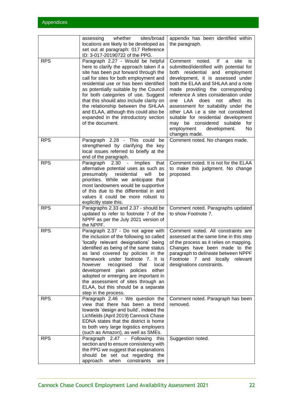|            | whether<br>sites/broad<br>assessing<br>locations are likely to be developed as<br>set out at paragraph: 017 Reference<br>ID: 3-017-20190722 of the PPG.                                                                                                                                                                                                                                                                                                                           | appendix has been identified within<br>the paragraph.                                                                                                                                                                                                                                                                                                                                                                                                                                                                                   |
|------------|-----------------------------------------------------------------------------------------------------------------------------------------------------------------------------------------------------------------------------------------------------------------------------------------------------------------------------------------------------------------------------------------------------------------------------------------------------------------------------------|-----------------------------------------------------------------------------------------------------------------------------------------------------------------------------------------------------------------------------------------------------------------------------------------------------------------------------------------------------------------------------------------------------------------------------------------------------------------------------------------------------------------------------------------|
| <b>RPS</b> | Paragraph 2.27 - Would be helpful<br>here to clarify the approach taken if a<br>site has been put forward through the<br>call for sites for both employment and<br>residential use or has been identified<br>as potentially suitable by the Council<br>for both categories of use. Suggest<br>that this should also include clarity on<br>the relationship between the SHLAA<br>and ELAA, although this could also be<br>expanded in the introductory section<br>of the document. | Comment<br>noted. If<br>site<br>a<br>İS.<br>submitted/identified with potential for<br>both residential and employment<br>development, it is assessed under<br>both the ELAA and SHLAA and a note<br>made providing the corresponding<br>reference A sites consideration under<br>one LAA does not<br>affect<br>its<br>assessment for suitability under the<br>other LAA i.e a site not considered<br>suitable for residential development<br>may be considered<br>suitable<br>for<br>employment<br>development.<br>No<br>changes made. |
| <b>RPS</b> | Paragraph 2.28 - This could be<br>strengthened by clarifying the key<br>local issues referred to briefly at the<br>end of the paragraph.                                                                                                                                                                                                                                                                                                                                          | Comment noted. No changes made.                                                                                                                                                                                                                                                                                                                                                                                                                                                                                                         |
| <b>RPS</b> | Paragraph 2.30 - Implies<br>that<br>alternative potential uses as such as<br>residential<br>will<br>presumably<br>be<br>priorities. While we anticipate that<br>most landowners would be supportive<br>of this due to the differential in and<br>values it could be more robust to<br>explicitly state this.                                                                                                                                                                      | Comment noted. It is not for the ELAA<br>to make this judgment. No change<br>proposed.                                                                                                                                                                                                                                                                                                                                                                                                                                                  |
| <b>RPS</b> | Paragraphs 2.33 and 2.37 - should be<br>updated to refer to footnote 7 of the<br>NPPF as per the July 2021 version of<br>the NPPF.                                                                                                                                                                                                                                                                                                                                                | Comment noted. Paragraphs updated<br>to show Footnote 7.                                                                                                                                                                                                                                                                                                                                                                                                                                                                                |
| <b>RPS</b> | Paragraph 2.37 - Do not agree with<br>the inclusion of the following so called<br>'locally relevant designations' being<br>identified as being of the same status<br>as land covered by policies in the<br>framework under footnote 7. It is<br>recognised<br>however<br>that<br>local<br>development plan policies<br>either<br>adopted or emerging are important in<br>the assessment of sites through an<br>ELAA, but this should be a separate<br>step in the process.        | Comment noted. All constraints are<br>assessed at the same time in this step<br>of the process as it relies on mapping.<br>Changes have been made to the<br>paragraph to delineate between NPPF<br>Footnote 7 and locally<br>relevant<br>designations constraints.                                                                                                                                                                                                                                                                      |
| <b>RPS</b> | Paragraph 2.46 - We question the<br>view that there has been a trend<br>towards 'design and build', indeed the<br>Lichfields (April 2019) Cannock Chase<br>EDNA states that the district is home<br>to both very large logistics employers<br>(such as Amazon), as well as SMEs.                                                                                                                                                                                                  | Comment noted. Paragraph has been<br>removed.                                                                                                                                                                                                                                                                                                                                                                                                                                                                                           |
| <b>RPS</b> | Paragraph 2.47 - Following<br>this<br>section and to ensure consistency with<br>the PPG we suggest that explanations<br>should be set out regarding the<br>approach<br>constraints<br>when<br>are                                                                                                                                                                                                                                                                                 | Suggestion noted.                                                                                                                                                                                                                                                                                                                                                                                                                                                                                                                       |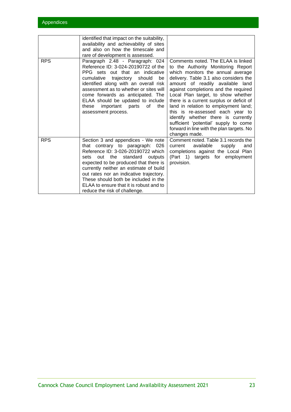|            | identified that impact on the suitability,<br>availability and achievability of sites<br>and also on how the timescale and<br>rare of development is assessed.                                                                                                                                                                                                                                       |                                                                                                                                                                                                                                                                                                                                                                                                                                                                                                                                                    |
|------------|------------------------------------------------------------------------------------------------------------------------------------------------------------------------------------------------------------------------------------------------------------------------------------------------------------------------------------------------------------------------------------------------------|----------------------------------------------------------------------------------------------------------------------------------------------------------------------------------------------------------------------------------------------------------------------------------------------------------------------------------------------------------------------------------------------------------------------------------------------------------------------------------------------------------------------------------------------------|
| <b>RPS</b> | Paragraph 2.48 - Paragraph: 024<br>Reference ID: 3-024-20190722 of the<br>PPG sets out that an indicative<br>cumulative trajectory should<br>be<br>identified along with an overall risk<br>assessment as to whether or sites will<br>come forwards as anticipated. The<br>ELAA should be updated to include<br>important parts of<br>the<br>these<br>assessment process.                            | Comments noted. The ELAA is linked<br>to the Authority Monitoring Report<br>which monitors the annual average<br>delivery. Table 3.1 also considers the<br>amount of readily available<br>land<br>against completions and the required<br>Local Plan target, to show whether<br>there is a current surplus or deficit of<br>land in relation to employment land;<br>this is re-assessed each year to<br>identify whether there is currently<br>sufficient 'potential' supply to come<br>forward in line with the plan targets. No<br>changes made. |
| <b>RPS</b> | Section 3 and appendices - We note<br>that contrary to paragraph: 026<br>Reference ID: 3-026-20190722 which<br>standard outputs<br>out the<br>sets<br>expected to be produced that there is<br>currently neither an estimate of build<br>out rates nor an indicative trajectory.<br>These should both be included in the<br>ELAA to ensure that it is robust and to<br>reduce the risk of challenge. | Comment noted. Table 3.1 records the<br>available<br>current<br>supply<br>and<br>completions against the Local Plan<br>(Part 1) targets for employment<br>provision.                                                                                                                                                                                                                                                                                                                                                                               |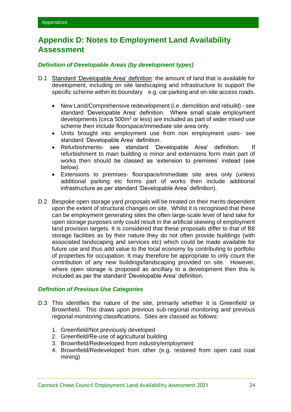## <span id="page-26-0"></span>**Appendix D: Notes to Employment Land Availability Assessment**

### *Definition of Developable Areas (by development types)*

- D.1 Standard 'Developable Area' definition: the amount of land that is available for development, including on site landscaping and infrastructure to support the specific scheme within its boundary e.g. car parking and on-site access roads.
	- New Land/Comprehensive redevelopment (i.e. demolition and rebuild) see standard 'Developable Area' definition. Where small scale employment developments (circa  $500<sup>m²</sup>$  or less) are included as part of wider mixed use scheme then include floorspace/immediate site area only.
	- Units brought into employment use from non employment uses- see standard 'Developable Area' definition.
	- Refurbishments- see standard 'Developable Area' definition. If refurbishment to main building is minor and extensions form main part of works then should be classed as 'extension to premises' instead (see below).
	- Extensions to premises- floorspace/immediate site area only (unless additional parking etc forms part of works then include additional infrastructure as per standard 'Developable Area' definition).
- D.2 Bespoke open storage yard proposals will be treated on their merits dependent upon the extent of structural changes on site. Whilst it is recognised that these can be employment generating sites the often large-scale level of land take for open storage purposes only could result in the artificial skewing of employment land provision targets. It is considered that these proposals differ to that of B8 storage facilities as by their nature they do not often provide buildings (with associated landscaping and services etc) which could be made available for future use and thus add value to the local economy by contributing to portfolio of properties for occupation. It may therefore be appropriate to only count the contribution of any new buildings/landscaping provided on site. However, where open storage is proposed as ancillary to a development then this is included as per the standard 'Developable Area' definition.

### *Definition of Previous Use Categories*

- D.3 This identifies the nature of the site, primarily whether it is Greenfield or Brownfield. This draws upon previous sub-regional monitoring and previous regional monitoring classifications. Sites are classed as follows:
	- 1. Greenfield/Not previously developed
	- 2. Greenfield/Re-use of agricultural building
	- 3. Brownfield/Redeveloped from industry/employment
	- 4. Brownfield/Redeveloped from other (e.g. restored from open cast coal mining)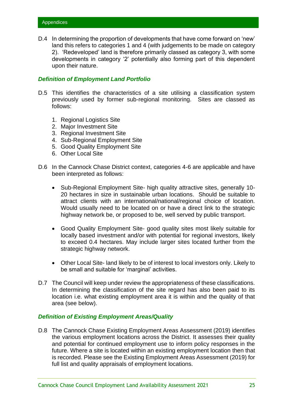D.4 In determining the proportion of developments that have come forward on 'new' land this refers to categories 1 and 4 (with judgements to be made on category 2). 'Redeveloped' land is therefore primarily classed as category 3, with some developments in category '2' potentially also forming part of this dependent upon their nature.

### *Definition of Employment Land Portfolio*

- D.5 This identifies the characteristics of a site utilising a classification system previously used by former sub-regional monitoring. Sites are classed as follows:
	- 1. Regional Logistics Site
	- 2. Major Investment Site
	- 3. Regional Investment Site
	- 4. Sub-Regional Employment Site
	- 5. Good Quality Employment Site
	- 6. Other Local Site
- D.6 In the Cannock Chase District context, categories 4-6 are applicable and have been interpreted as follows:
	- Sub-Regional Employment Site- high quality attractive sites, generally 10- 20 hectares in size in sustainable urban locations. Should be suitable to attract clients with an international/national/regional choice of location. Would usually need to be located on or have a direct link to the strategic highway network be, or proposed to be, well served by public transport.
	- Good Quality Employment Site- good quality sites most likely suitable for locally based investment and/or with potential for regional investors, likely to exceed 0.4 hectares. May include larger sites located further from the strategic highway network.
	- Other Local Site- land likely to be of interest to local investors only. Likely to be small and suitable for 'marginal' activities.
- D.7 The Council will keep under review the appropriateness of these classifications. In determining the classification of the site regard has also been paid to its location i.e. what existing employment area it is within and the quality of that area (see below).

### *Definition of Existing Employment Areas/Quality*

D.8 The Cannock Chase Existing Employment Areas Assessment (2019) identifies the various employment locations across the District. It assesses their quality and potential for continued employment use to inform policy responses in the future. Where a site is located within an existing employment location then that is recorded. Please see the Existing Employment Areas Assessment (2019) for full list and quality appraisals of employment locations.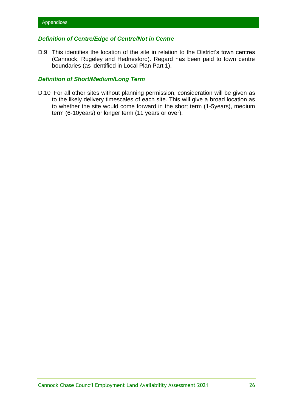### *Definition of Centre/Edge of Centre/Not in Centre*

D.9 This identifies the location of the site in relation to the District's town centres (Cannock, Rugeley and Hednesford). Regard has been paid to town centre boundaries (as identified in Local Plan Part 1).

### *Definition of Short/Medium/Long Term*

D.10 For all other sites without planning permission, consideration will be given as to the likely delivery timescales of each site. This will give a broad location as to whether the site would come forward in the short term (1-5years), medium term (6-10years) or longer term (11 years or over).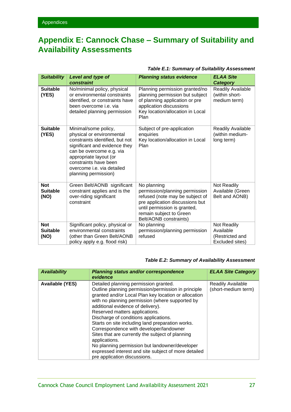## <span id="page-29-0"></span>**Appendix E: Cannock Chase – Summary of Suitability and Availability Assessments**

### *Table E.1: Summary of Suitability Assessment*

| <b>Suitability</b>                    | Level and type of<br>constraint                                                                                                                                                                                                                                   | <b>Planning status evidence</b>                                                                                                                                                                          | <b>ELAA Site</b><br><b>Category</b>                            |
|---------------------------------------|-------------------------------------------------------------------------------------------------------------------------------------------------------------------------------------------------------------------------------------------------------------------|----------------------------------------------------------------------------------------------------------------------------------------------------------------------------------------------------------|----------------------------------------------------------------|
| <b>Suitable</b><br>(YES)              | No/minimal policy, physical<br>or environmental constraints<br>identified, or constraints have<br>been overcome <i>i.e.</i> via<br>detailed planning permission                                                                                                   | Planning permission granted/no<br>planning permission but subject<br>of planning application or pre<br>application discussions<br>Key location/allocation in Local<br>Plan                               | Readily Available<br>(within short-<br>medium term)            |
| <b>Suitable</b><br>(YES)              | Minimal/some policy,<br>physical or environmental<br>constraints identified, but not<br>significant and evidence they<br>can be overcome e.g. via<br>appropriate layout (or<br>constraints have been<br>overcome <i>i.e.</i> via detailed<br>planning permission) | Subject of pre-application<br>enquiries<br>Key location/allocation in Local<br>Plan                                                                                                                      | Readily Available<br>(within medium-<br>long term)             |
| <b>Not</b><br><b>Suitable</b><br>(NO) | Green Belt/AONB significant<br>constraint applies and is the<br>over-riding significant<br>constraint                                                                                                                                                             | No planning<br>permission/planning permission<br>refused (note may be subject of<br>pre application discussions but<br>until permission is granted,<br>remain subject to Green<br>Belt/AONB constraints) | Not Readily<br>Available (Green<br>Belt and AONB)              |
| <b>Not</b><br><b>Suitable</b><br>(NO) | Significant policy, physical or<br>environmental constraints<br>(other than Green Belt/AONB<br>policy apply e.g. flood risk)                                                                                                                                      | No planning<br>permission/planning permission<br>refused                                                                                                                                                 | Not Readily<br>Available<br>(Restricted and<br>Excluded sites) |

### *Table E.2: Summary of Availability Assessment*

| <b>Availability</b>    | <b>Planning status and/or correspondence</b><br>evidence                                                                                                                                                                                                                                                                                                                                                                                                                                                                                                                                                                              | <b>ELAA Site Category</b>                |
|------------------------|---------------------------------------------------------------------------------------------------------------------------------------------------------------------------------------------------------------------------------------------------------------------------------------------------------------------------------------------------------------------------------------------------------------------------------------------------------------------------------------------------------------------------------------------------------------------------------------------------------------------------------------|------------------------------------------|
| <b>Available (YES)</b> | Detailed planning permission granted.<br>Outline planning permission/permission in principle<br>granted and/or Local Plan key location or allocation<br>with no planning permission (where supported by<br>additional evidence of delivery).<br>Reserved matters applications.<br>Discharge of conditions applications.<br>Starts on site including land preparation works.<br>Correspondence with developer/landowner<br>Sites that are currently the subject of planning<br>applications.<br>No planning permission but landowner/developer<br>expressed interest and site subject of more detailed<br>pre application discussions. | Readily Available<br>(short-medium term) |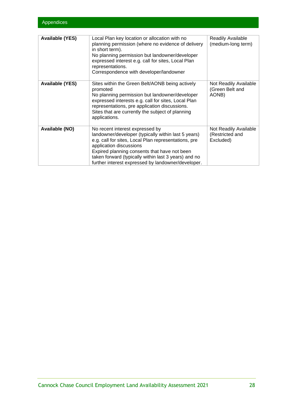| <b>Available (YES)</b> | Local Plan key location or allocation with no<br>planning permission (where no evidence of delivery<br>in short term).<br>No planning permission but landowner/developer<br>expressed interest e.g. call for sites, Local Plan<br>representations.<br>Correspondence with developer/landowner                                           | Readily Available<br>(medium-long term)               |
|------------------------|-----------------------------------------------------------------------------------------------------------------------------------------------------------------------------------------------------------------------------------------------------------------------------------------------------------------------------------------|-------------------------------------------------------|
| <b>Available (YES)</b> | Sites within the Green Belt/AONB being actively<br>promoted<br>No planning permission but landowner/developer<br>expressed interests e.g. call for sites, Local Plan<br>representations, pre application discussions.<br>Sites that are currently the subject of planning<br>applications.                                              | Not Readily Available<br>(Green Belt and<br>AONB)     |
| <b>Available (NO)</b>  | No recent interest expressed by<br>landowner/developer (typically within last 5 years)<br>e.g. call for sites, Local Plan representations, pre<br>application discussions<br>Expired planning consents that have not been<br>taken forward (typically within last 3 years) and no<br>further interest expressed by landowner/developer. | Not Readily Available<br>(Restricted and<br>Excluded) |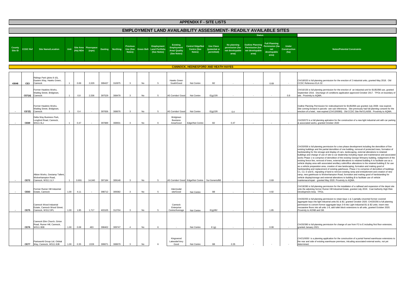full planning permission for the erection of an industrial unit for B1/B2/B8 use, granted September 2016. Discharge of conditions application approved October 2017. TPOs on boundary of

ing Permission for redevelopment for B1/B2/B8 use granted July 2008- now expired.<br>prward in parcels- see sub references. Site previously had full planning consent for the<br>hotel, now expired (CH/13/0080). Old CCDC Site Ref

a full planning aplciation for the construction of a new light industrial unit with car parking & associated works, granted October 2020

full planning permission for a two phase development including the demolition of five existing buildings and the partial demolition of one building, removal of protected trees, formation of or the stroage and display of cars, landscaping, external alterations to retained buildings and change of use of site to car dealership including repair and maintenance and associated works Phase 1 to comprise of demolition of the existing George Wimpery building, realignment of the line, removal of trees, external alterations to retained building A to facilitate use as a vehicle display area with associated ancillary cafe/office alterations to the retained building E for use reparation area, creation of new landscaping, formation and making good of hardstanding and replacement of existing gatehouse. Phase 2 to comprise of demolition of buildings C1, C2, D and E, regrading of land to remove existing ramp and embankment and creation of new ramp, negating, new gatemon<br>tehouse to Wolverhampton Road, formation and making good of hardstanding for v/storage and external alterations to building B to facilitate use of vehicle maintenace/repair - granted May 2020. Proximity to AQMA.

full planning permission for the installation of a railhead and expansion of the depot site<br>ning former Rumer Hill Industrial Estate, granted July 2019. Coal Authority High Risk<br>Area. TPOs.

full planning permission to retain bays 1 & 2 partially cinverted former covered<br>ys into light industrial units B1 & B2, granted October 2020. CH/20/256 is full planning<br>convert former aggregate bays 3-8 into Light Industr

full planning permission for change of use from F2 to E including first floor extension, ary 2021.

s a planning application for the construction of a portal framed warehouse extensions to ide of existing warehouse premises, inlcuding associated external works, not yet

|                   |                 |                                                                              |      |          |                               |        |                  |                                       |    |                                                        |                                                                             | <b>APPENDIX F - SITE LISTS</b>                          |                                                 |                                                                         |                                                                               |                                                                        |                                             |                                                                                                                                                                                                                                                                                                                                                                                                                                                                                                                                                                                                                                                                                                                                                                                                                                                                                                                             |
|-------------------|-----------------|------------------------------------------------------------------------------|------|----------|-------------------------------|--------|------------------|---------------------------------------|----|--------------------------------------------------------|-----------------------------------------------------------------------------|---------------------------------------------------------|-------------------------------------------------|-------------------------------------------------------------------------|-------------------------------------------------------------------------------|------------------------------------------------------------------------|---------------------------------------------|-----------------------------------------------------------------------------------------------------------------------------------------------------------------------------------------------------------------------------------------------------------------------------------------------------------------------------------------------------------------------------------------------------------------------------------------------------------------------------------------------------------------------------------------------------------------------------------------------------------------------------------------------------------------------------------------------------------------------------------------------------------------------------------------------------------------------------------------------------------------------------------------------------------------------------|
|                   |                 |                                                                              |      |          |                               |        |                  |                                       |    |                                                        |                                                                             |                                                         |                                                 | <b>EMPLOYMENT LAND AVAILABILITY ASSESSMENT- READILY AVAILABLE SITES</b> |                                                                               |                                                                        |                                             |                                                                                                                                                                                                                                                                                                                                                                                                                                                                                                                                                                                                                                                                                                                                                                                                                                                                                                                             |
|                   |                 |                                                                              |      |          |                               |        |                  |                                       |    |                                                        |                                                                             |                                                         |                                                 |                                                                         | <b>Status</b>                                                                 |                                                                        |                                             |                                                                                                                                                                                                                                                                                                                                                                                                                                                                                                                                                                                                                                                                                                                                                                                                                                                                                                                             |
| County<br>Site ID | <b>CCDC Ref</b> | <b>Site Name/Location</b>                                                    | Unit | (Ha) NDA | Site Area Floorspace<br>(sqm) |        | Easting Northing | <b>Previous</b><br>Use (See<br>Notes) |    | Employment<br>Green Belt Land Portfolio<br>(See Notes) | <b>Existing</b><br><b>Employment</b><br><b>Area/ Quality</b><br>(See Notes) | <b>Centre/ Edge/Not</b><br><b>Centre (See</b><br>Notes) | <b>Use Class</b><br>(potential or<br>permitted) | No planning<br>permission (ha-<br>net developable<br>area)              | <b>Outline Planning</b><br><b>Permission (ha-</b><br>net developable<br>area) | <b>Full Planning</b><br>Permission (ha-<br>net<br>developable<br>area) | <b>Under</b><br><b>Construction</b><br>(ha) | <b>Notes/Potential Constraints</b>                                                                                                                                                                                                                                                                                                                                                                                                                                                                                                                                                                                                                                                                                                                                                                                                                                                                                          |
|                   |                 |                                                                              |      |          |                               |        |                  |                                       |    |                                                        |                                                                             | <b>CANNOCK, HEDNESFORD AND HEATH HAYES</b>              |                                                 |                                                                         |                                                                               |                                                                        |                                             |                                                                                                                                                                                                                                                                                                                                                                                                                                                                                                                                                                                                                                                                                                                                                                                                                                                                                                                             |
| 43048             | CE3             | Ridings Park (plots 8-10),<br>Eastern Way, Hawks Green,<br>Cannock           |      | 0.69     | 2,029                         | 399437 | 310975           | 3                                     | No | 5                                                      | Hawks Green<br>South/Good                                                   | Not Centre                                              | <b>B2</b>                                       |                                                                         |                                                                               | 0.69                                                                   |                                             | CH/18/020 is full planning permission for the erection of 2 industria<br>CCDC Reference ELA 32                                                                                                                                                                                                                                                                                                                                                                                                                                                                                                                                                                                                                                                                                                                                                                                                                              |
|                   | CE7(d)          | Former Hawkins Works,<br>Watling Street, Bridgtown,<br>Cannock               |      | 0.8      | 2,536                         | 397529 | 308478           | $\mathbf{3}$                          | No | 5                                                      | A5 Corridor/ Good                                                           | Not Centre                                              | E(g)/2/8                                        |                                                                         |                                                                               |                                                                        | 0.8                                         | CH/16/156 is full planning permission for the erection of an indust<br>September 2016. Discharge of conditions application approved C<br>site. Proximity to AQMA.                                                                                                                                                                                                                                                                                                                                                                                                                                                                                                                                                                                                                                                                                                                                                           |
|                   | <b>CE7(f)</b>   | Former Hawkins Works,<br>Watling Street, Bridgtown,<br>Cannock               |      | 0.4      | $\sim$                        | 397656 | 308676           | 3                                     | No | 5                                                      | A5 Corridor/ Good                                                           | Not Centre                                              | E(g)/2/8                                        | 0.4                                                                     | $\sim$                                                                        | $\sim$                                                                 | $\sim$                                      | Outline Planning Permission for redevelopment for B1/B2/B8 use<br>Site coming forward in parcels- see sub references. Site previous<br>erection of a hotel, now expired (CH/13/0080). Old CCDC Site R                                                                                                                                                                                                                                                                                                                                                                                                                                                                                                                                                                                                                                                                                                                       |
|                   | CE69            | Delta Way Business Park,<br>Longford Road, Cannock,<br><b>WS11 0LJ</b>       |      | 0.47     | $\sim$                        | 397889 | 308931           | 3                                     | No | 6                                                      | Bridgtown<br><b>Business</b><br>Area/Good                                   | Edge/Not Centre                                         | <b>B2</b>                                       | 0.47                                                                    | $\sim$                                                                        |                                                                        | $\sim$                                      | CH/20/073 is a full planning aplciation for the construction of a nev<br>& associated works, granted October 2020                                                                                                                                                                                                                                                                                                                                                                                                                                                                                                                                                                                                                                                                                                                                                                                                           |
|                   | <b>CE72</b>     | Albion Works, Gestamp Tallent,<br>Wolverhampton Road,<br>Cannock, WS11 1LY   |      | 0.691    | 14,040                        | 397184 | 309148           | $\mathbf{3}$                          | No | 5                                                      |                                                                             | A5 Corridor/ Good Edge/Not Centre                       | Sui Generis/B8                                  | $\sim$                                                                  | $\blacksquare$                                                                | 0.69                                                                   | $\sim$                                      | CH/20/058 is full planning permission for a two phase developmer<br>existing buildings and the partial demolition of one building, remov<br>hardstanding for the stroage and display of cars, landscaping, ext<br>buildings and change of use of site to car dealership including rep<br>works Phase 1 to comprise of demolition of the existing George W<br>existing fence line, removal of trees, external alterations to retaine<br>vehicle display area with associated ancillary cafe/office alteration<br>as a vehicle preparation area, creation of new landscaping, forma<br>hardstanding and replacement of existing gatehouse. Phase 2 to<br>C1, C2, D and E, regrading of land to remove existing ramp and e<br>ramp, new gatehouse to Wolverhampton Road, formation and ma<br>vehicle display/storage and external alterations to building B to fad<br>maintenace/repair - granted May 2020. Proximity to AQMA. |
|                   | <b>CE63</b>     | Former Rumer Hill Industrial<br>Estate, Cannock                              | 1.00 | 4.11     | $\sim$                        | 398712 | 309382           | 3                                     | No | 5                                                      | Intermodal<br>site/Good                                                     | Not Centre                                              | B <sub>8</sub>                                  | $\blacksquare$                                                          |                                                                               | 4.92                                                                   |                                             | CH/19/280 is full planning permission for the installation of a railhe<br>onto the adjoining former Rumer Hill Industrial Estate, granted Jul<br>Development Area. TPOs.                                                                                                                                                                                                                                                                                                                                                                                                                                                                                                                                                                                                                                                                                                                                                    |
|                   | <b>CE75</b>     | Cannock Wood Industrial<br>Estate, Cannock Wood Street,<br>Cannock, WS12 0PL | 1.00 | 1.85     | 1,717                         | 403105 | 312704           | 3                                     | No |                                                        | Cannock<br>Enterprise<br>Centre/Average                                     | Not Centre                                              | E(g)/B2                                         |                                                                         |                                                                               | 1.85                                                                   | $\overline{\phantom{a}}$                    | CH/20/255 is full planning permission to retain bays 1 & 2 partially<br>aggregate bays into light industrial units B1 & B2, granted Octobe<br>permission to convert former aggregate bays 3-8 into Light Indust<br>mezaanine floors into all units 1-8, add toilet block extensions to a<br>Proximity to AONB and GB.                                                                                                                                                                                                                                                                                                                                                                                                                                                                                                                                                                                                       |
|                   | <b>CE76</b>     | Cannock Elim Church, Girton<br>Road, Rumer Hill, Cannock,<br><b>WS11 0EB</b> | 1.00 | 0.08     | 463                           | 398402 | 309747           | $\overline{4}$                        | No | 6                                                      |                                                                             | Not Centre                                              | E(g)                                            | $\sim$                                                                  |                                                                               | 0.08                                                                   | $\sim$                                      | CH/20/390 is full planning permission for change of use from F2 to<br>granted January 2021.                                                                                                                                                                                                                                                                                                                                                                                                                                                                                                                                                                                                                                                                                                                                                                                                                                 |
|                   | <b>CE77</b>     | Partsworld Group Ltd, Orbital<br>Way, Cannock, WS11 8JB                      | 1.00 | 0.35     | 2228                          | 399071 | 308679           | 3                                     | No |                                                        | Kingswood<br>Lakeside/Very<br>Good                                          | Not Centre                                              | <b>B8</b>                                       | 0.35                                                                    |                                                                               |                                                                        |                                             | CH/21/0050 is a planning application for the construction of a por<br>the rear and side of existing warehouse premises, inlcuding assoc<br>determined.                                                                                                                                                                                                                                                                                                                                                                                                                                                                                                                                                                                                                                                                                                                                                                      |

full planning permission for the erection of 2 industrial units, granted May 2018. Old<br>Ince ELA 32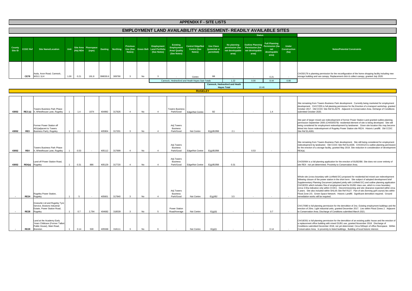|                   |                 |                                                                                                         |      |          |                               |          |                         |                                       |     |                                                               |                                                                      | <b>APPENDIX F - SITE LISTS</b>                   |                                                 |                                                                         |                                                                               |                                                                             |                                             |                                                                                                                                                                                                                                                                                                                                                                                                                                                                                                                                                                                                                                                                                                                                                                              |
|-------------------|-----------------|---------------------------------------------------------------------------------------------------------|------|----------|-------------------------------|----------|-------------------------|---------------------------------------|-----|---------------------------------------------------------------|----------------------------------------------------------------------|--------------------------------------------------|-------------------------------------------------|-------------------------------------------------------------------------|-------------------------------------------------------------------------------|-----------------------------------------------------------------------------|---------------------------------------------|------------------------------------------------------------------------------------------------------------------------------------------------------------------------------------------------------------------------------------------------------------------------------------------------------------------------------------------------------------------------------------------------------------------------------------------------------------------------------------------------------------------------------------------------------------------------------------------------------------------------------------------------------------------------------------------------------------------------------------------------------------------------------|
|                   |                 |                                                                                                         |      |          |                               |          |                         |                                       |     |                                                               |                                                                      |                                                  |                                                 | <b>EMPLOYMENT LAND AVAILABILITY ASSESSMENT- READILY AVAILABLE SITES</b> |                                                                               |                                                                             |                                             |                                                                                                                                                                                                                                                                                                                                                                                                                                                                                                                                                                                                                                                                                                                                                                              |
|                   |                 |                                                                                                         |      |          |                               |          |                         |                                       |     |                                                               |                                                                      |                                                  |                                                 |                                                                         | <b>Status</b>                                                                 |                                                                             |                                             |                                                                                                                                                                                                                                                                                                                                                                                                                                                                                                                                                                                                                                                                                                                                                                              |
| County<br>Site ID | <b>CCDC Ref</b> | <b>Site Name/Location</b>                                                                               | Unit | (Ha) NDA | Site Area Floorspace<br>(sqm) |          | <b>Easting</b> Northing | <b>Previous</b><br>Use (See<br>Notes) |     | <b>Employment</b><br>Green Belt Land Portfolio<br>(See Notes) | <b>Existing</b><br>Employment<br><b>Area/ Quality</b><br>(See Notes) | Centre/ Edge/Not<br><b>Centre (See</b><br>Notes) | <b>Use Class</b><br>(potential or<br>permitted) | No planning<br>permission (ha-<br>net developable<br>area)              | <b>Outline Planning</b><br><b>Permission (ha-</b><br>net developable<br>area) | <b>Full Planning</b><br><b>ermission (ha</b><br>net<br>developable<br>area) | <b>Under</b><br><b>Construction</b><br>(ha) | <b>Notes/Potential Constraints</b>                                                                                                                                                                                                                                                                                                                                                                                                                                                                                                                                                                                                                                                                                                                                           |
|                   | <b>CE78</b>     | Asda, Avon Road, Cannock,<br><b>WS11 1LH</b>                                                            | 1.00 | 0.21     | 191.8                         | 398030.6 | 309790                  | $\cdot$ 3                             | No  |                                                               |                                                                      | Centre                                           | B <sub>8</sub>                                  |                                                                         |                                                                               | 0.21                                                                        |                                             | CH/20/179 is planning permission for the reconfiguration of the home shopping facility including new<br>storage building and van canopy. Replacement click & collect canopy, granted July 2020.                                                                                                                                                                                                                                                                                                                                                                                                                                                                                                                                                                              |
|                   |                 |                                                                                                         |      |          |                               |          |                         |                                       |     |                                                               |                                                                      | Cannock, Hednesford and Heath Hayes Sub-Totals   |                                                 | 1.22<br>Cannock, Hednesford and Heath                                   | 0.00                                                                          | 8.44                                                                        | 0.80                                        |                                                                                                                                                                                                                                                                                                                                                                                                                                                                                                                                                                                                                                                                                                                                                                              |
|                   |                 |                                                                                                         |      |          |                               |          |                         |                                       |     |                                                               |                                                                      |                                                  |                                                 | <b>Hayes Total</b>                                                      | 10.46                                                                         |                                                                             |                                             |                                                                                                                                                                                                                                                                                                                                                                                                                                                                                                                                                                                                                                                                                                                                                                              |
|                   |                 |                                                                                                         |      |          |                               |          |                         |                                       |     |                                                               |                                                                      | <b>RUGELEY</b>                                   |                                                 |                                                                         |                                                                               |                                                                             |                                             |                                                                                                                                                                                                                                                                                                                                                                                                                                                                                                                                                                                                                                                                                                                                                                              |
| 43052             | <b>RE2</b> (a)  | Towers Business Park Phase<br>II, Wheelhouse Lane, Rugeley                                              |      | 1.4      | 1074                          | 404992   | 317626                  | $\overline{4}$                        | No  |                                                               | <b>Towers Business</b><br>Park/Good                                  | Edge/Not Centre                                  | <b>B2</b>                                       |                                                                         | $\sim$                                                                        | 1.4                                                                         |                                             | Site remaining from Towers Business Park development. Currently being marketed for employment<br>development. CH/17/255 is full planning permission for the Erection of a transport workshop, granted<br>October 2017. Old CCDC Site Ref ELA079. Adjacent to Conservation Area. Dicharge of Conditions<br>submitted October 2020.                                                                                                                                                                                                                                                                                                                                                                                                                                            |
| 43052             | RE3             | Former Power Station off<br>A51(adjacent to Towers<br>Business Park), Rugeley                           |      | 2.1      |                               | 405904   | 317201                  | $\mathbf{R}$                          | No  |                                                               | Adj.Towers<br><b>Business</b><br>Park/Good                           | Not Centre                                       | E(g)/B2/B8                                      | 2.1                                                                     |                                                                               |                                                                             |                                             | Site part of larger mixed use redevelopment of former Power Station Land granted outline planning<br>permission September 2005 (CH/03/0378)- residential element of site is being developed. Site still<br>being considered for employment redevelopment by landowner. Given site location this may become<br>linked into future redevelopment of Rugeley Power Station site RE24. Historic Landfill. Old CCDC<br>Site Ref ELA081.                                                                                                                                                                                                                                                                                                                                           |
| 43052             | RE4             | Towers Business Park Phase<br>I, Wheelhouse Lane, Rugeley                                               |      | 0.53     |                               | 405112   | 317699                  | $\overline{4}$                        | No  |                                                               | Adj.Towers<br><b>Business</b><br>Park/Good                           | Edge/Not Centre                                  | E(g)/B2/B8                                      | $\overline{a}$                                                          | 0.53                                                                          |                                                                             |                                             | Site remaining from Towers Business Park development. Site still being considered for employment<br>redevelopment by landowner. Old CCDC Site Ref ELA036. CH/19/123 is outline planning permission<br>for the erection of a storage facility, granted May 2019. Site reduction in consideration of developmen<br>RE4(a).                                                                                                                                                                                                                                                                                                                                                                                                                                                     |
| 43052             | RE4(a) Rugeley  | Land off Power Station Road,                                                                            |      | 0.31     | 886                           | 405129   | 317720                  | $\overline{4}$                        | No  |                                                               | Adj.Towers<br><b>Business</b><br>Park/Good                           | Edge/Not Centre                                  | E(g)/B2/B8                                      | 0.31                                                                    |                                                                               |                                                                             |                                             | CH/20/064 is a full planning application for the erection of B1/B2/B8. Site does not cover entirety of<br>site RE4 - not yet determined. Proximity to Conservation Area.                                                                                                                                                                                                                                                                                                                                                                                                                                                                                                                                                                                                     |
|                   | <b>RE24</b>     | Rugeley Power Station,<br>Rugeley                                                                       |      | 5        |                               | 405601   | 317840                  | $\mathbf{R}$                          | No  |                                                               | Adj.Towers<br><b>Business</b><br>Park/Good                           | Not Centre                                       | E(g)/B2                                         | 3.5                                                                     |                                                                               |                                                                             |                                             | Whole site (cross boundary with Lichfield DC) proposed for residential led mixed use redevelopment<br>following closure of the power station in the short term. Site subject of adopted development brief<br>Supplementary Planning Document (adopted jointly with Lichfield DC) and outline planning application<br>CH/19/201 which includes 5ha of employment land for B1/B2 class use, which is cross boundary<br>(circa 3.5ha indicative only within CCDC). Decommissioning and site clearance expected within circa<br>4 years. Site also included within SHLAA Site Ref R127. Part of site (forming golf course) lies within<br>Flood Zone 2/3. Green Space Network. Historic Landfill. Significant demolition required. Ground<br>remediation works will be required. |
|                   | <b>RE28</b>     | Granurite Ltd and Rugeley Tyre<br>Service, Bostons Industrial<br>Estate, Power Station Road,<br>Rugeley |      | 0.7      | 2,794                         | 404682   | 318539                  | $\mathbf{3}$                          | No  |                                                               | Power Station<br>Road/Average                                        | Not Centre                                       | E(g)(ii)                                        |                                                                         |                                                                               | 0.7                                                                         |                                             | CH/17/080 is full planning permission for the demolition of 2no. Existing employment buildings and the<br>erection of 20no. Light industrial units, granted December 2017. Lies within Flood Zones 2. Adjacent<br>to Conservation Area. Discharge of Conditions submitted March 2021.                                                                                                                                                                                                                                                                                                                                                                                                                                                                                        |
|                   | <b>RE29</b>     | Land at the Academy Early<br>Years Childcare (Former Talbot<br>Public House), Main Road,<br>Brereton    |      | 0.14     | 500                           | 405568   | 318111                  |                                       | No. |                                                               |                                                                      | Not Centre                                       | E(g)(i)                                         |                                                                         |                                                                               | 0.14                                                                        |                                             | CH/18/261 is full planning permission for the demolition of an existing public house and the erection of<br>a replacement office building with mixed D1/B1 use, granted November 2018. Discharge of<br>Conditions submitted December 2018, not yet determined. Circa 500sqm of office floorspace. Within<br>Conservation Area. In proximity to listed buildings. Building of local historic interest.                                                                                                                                                                                                                                                                                                                                                                        |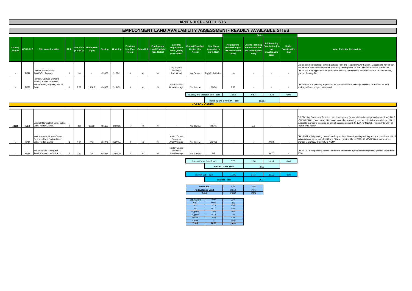Site adjacent to existing Towers Business Park and Rugeley Power Station. Disccssions have been had with the landowner/developer promoting development on site. Historic Landfills border site. CH/20/306 is an application for removal of existing hardstanding and erection of a retail foodstore,

CH/21/0085 is a planning application for proposed use of buildings and land for B2 and B8 with ancillary offices, not yet determined.

g Permission for mixed use development (residential and employment) granted May 2015<br>4) - now expired. Site owners are also promoting land for potential residential use. Site is<br>arketing exercise as part of planning consen

CH/18/027 is full planning permission for part demolition of existing building and erection of one pair of<br>industrial/warehouse units for B1 and B8 use, granted March 2018. CH/19/029 is resubmission,<br>granted May 2019. Pr

s full planning permission for the erection of a proposed storage unit, granted September

|                   |                 |                                                                                           |                |          |                               |         |                 |                                       |           |                                                        |                                                               | <b>APPENDIX F - SITE LISTS</b>                   |                                                 |                                                                  |                                                                        |                                                                        |                                             |                                                                                                         |
|-------------------|-----------------|-------------------------------------------------------------------------------------------|----------------|----------|-------------------------------|---------|-----------------|---------------------------------------|-----------|--------------------------------------------------------|---------------------------------------------------------------|--------------------------------------------------|-------------------------------------------------|------------------------------------------------------------------|------------------------------------------------------------------------|------------------------------------------------------------------------|---------------------------------------------|---------------------------------------------------------------------------------------------------------|
|                   |                 |                                                                                           |                |          |                               |         |                 |                                       |           |                                                        |                                                               |                                                  |                                                 | EMPLOYMENT LAND AVAILABILITY ASSESSMENT- READILY AVAILABLE SITES |                                                                        |                                                                        |                                             |                                                                                                         |
|                   |                 |                                                                                           |                |          |                               |         |                 |                                       |           |                                                        |                                                               |                                                  |                                                 |                                                                  | <b>Status</b>                                                          |                                                                        |                                             |                                                                                                         |
| County<br>Site ID | <b>CCDC Ref</b> | <b>Site Name/Location</b>                                                                 | Unit           | (Ha) NDA | Site Area Floorspace<br>(sqm) | Easting | <b>Northing</b> | <b>Previous</b><br>Use (See<br>Notes) |           | Employment<br>Green Belt Land Portfolio<br>(See Notes) | Existing<br>Employment<br><b>Area/ Quality</b><br>(See Notes) | Centre/ Edge/Not<br><b>Centre (See</b><br>Notes) | <b>Use Class</b><br>(potential or<br>permitted) | No planning<br>permission (ha-<br>net developable<br>area)       | <b>Outline Planning</b><br>Permission (ha-<br>net developable<br>area) | <b>Full Planning</b><br>Permission (ha-<br>net<br>developable<br>area) | <b>Under</b><br><b>Construction</b><br>(ha) |                                                                                                         |
| $\sim$            | <b>RE27</b>     | Land at Power Station<br>Road/A51, Rugeley                                                | $\overline{1}$ | 1.8      | $\sim$                        | 405063  | 317942          | $\overline{4}$                        | No        | Δ                                                      | Adj.Towers<br><b>Business</b><br>Park/Good                    | Not Centre                                       | E(q)/B2/B8/Mixed                                | 1.8                                                              | $\sim$                                                                 | $\overline{a}$                                                         | $\sim$                                      | Site adjacent to existing<br>had with the landowner<br>CH/20/306 is an applic<br>granted January 2021.  |
|                   | <b>RE30</b>     | Former JCB Cab Systems<br>Building & Unit 27, Power<br>Station Road, Rugeley, WS15<br>2WA |                | 2.88     | 19,513                        | 404909  | 318439          | 3                                     | No        | 5                                                      | <b>Power Station</b><br>Road/Average                          | Not Centre                                       | <b>B2/B8</b>                                    | 2.88                                                             |                                                                        |                                                                        | $\blacksquare$                              | CH/21/0085 is a planni<br>ancillary offices, not yet                                                    |
|                   |                 |                                                                                           |                |          |                               |         |                 |                                       |           |                                                        |                                                               |                                                  | Rugeley and Brereton Sub-Totals                 | 10.59                                                            | 0.53                                                                   | 2.24                                                                   | 0.00                                        |                                                                                                         |
|                   |                 |                                                                                           |                |          |                               |         |                 |                                       |           |                                                        |                                                               |                                                  |                                                 | <b>Rugeley and Brereton Total</b>                                | 13.36                                                                  |                                                                        |                                             |                                                                                                         |
|                   |                 |                                                                                           |                |          |                               |         |                 |                                       |           |                                                        |                                                               | <b>NORTON CANES</b>                              |                                                 |                                                                  |                                                                        |                                                                        |                                             |                                                                                                         |
|                   |                 |                                                                                           |                |          |                               |         |                 |                                       |           |                                                        |                                                               |                                                  |                                                 |                                                                  |                                                                        |                                                                        |                                             |                                                                                                         |
| 43085             | NE <sub>2</sub> | Land off Norton Hall Lane. Butts<br>Lane, Norton Canes                                    |                | 2.2      | 6,300                         | 401159  | 307495          | $\overline{1}$                        | No        | 5                                                      | $\sim$                                                        | Not Centre                                       | E(g)/B2                                         |                                                                  | 2.2                                                                    |                                                                        | $\sim$                                      | <b>Full Planning Permissio</b><br>(CH/10/0294) - now ex<br>subject to marketing ex<br>Proximity to AQMA |
| $\sim$            | <b>NE13</b>     | Norton House, Norton Canes<br>Business Park. Norton Green<br>Lane, Norton Canes           | $\overline{1}$ | 0.18     | 390                           | 401752  | 307664          | 3                                     | No        | 6                                                      | Norton Canes<br><b>Business</b><br>Area/Average               | Not Centre                                       | E(g)/B8                                         | $\sim$                                                           | $\sim$                                                                 | 0.18                                                                   | $\sim$                                      | CH/18/027 is full planni<br>industrial/warehouse ur<br>granted May 2019. Pro                            |
|                   | <b>NE14</b>     | The Lead Mill, Rolling Mill<br>Road, Cannock, WS11 9UJ                                    |                | 0.17     | 67                            | 401914  | 307529          | 3                                     | <b>No</b> |                                                        | Norton Canes<br><b>Business</b><br>Area/Average               | Not Centre                                       | <b>B2</b>                                       |                                                                  |                                                                        | 0.17                                                                   |                                             | CH/20/150 is full planni<br>2020.                                                                       |

| E(g)/B2/B8   | 5.94  | 23%  |
|--------------|-------|------|
| E(g)         | 0.92  | 3%   |
| <b>B2</b>    | 2.73  | 10%  |
| <b>B8</b>    | 6.17  | 23%  |
| E(g)/B2      | 7.55  | 29%  |
| E(g)/B8      | 0.18  | 1%   |
| <b>B2/B8</b> | 2.88  | 11%  |
| Other        |       | 0.0% |
| <b>Total</b> | 26.37 | 100% |

#### **Notes/Potential Constraints**

| <b>New Land</b>         | 6.24  | 24%  |
|-------------------------|-------|------|
| <b>Redeveloped Land</b> | 20.13 | 76%  |
| Total                   | 26.37 | 100% |

| Norton Canes Sub-Totals    | 0.00                      | 2.20 | 0.35  | 0.00 |
|----------------------------|---------------------------|------|-------|------|
|                            | <b>Norton Canes Total</b> | 2.55 |       |      |
| <b>District Sub-Totals</b> | $1.8^{\circ}$             | 2.73 | 11.03 | 0.80 |

26.37

**District Total**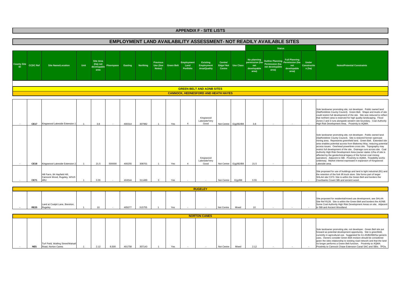

|                 | Turf Field, Watling Street/Walsall |      |       |        |        |     |  |            |       |      |  | Sole landowner promoting site, not developer. Green Belt site put<br>forward as potential development opportunity. Site is greenfield,<br>currently in agricultural use. Suggested for A1-A5/B2/B8/Sui generis<br>uses. Owners consider Green Belt revision should be considered<br>given the sites relationship to existing road network and that the land<br>no longer performs a Green Belt function. Proximity to AQMA. |
|-----------------|------------------------------------|------|-------|--------|--------|-----|--|------------|-------|------|--|-----------------------------------------------------------------------------------------------------------------------------------------------------------------------------------------------------------------------------------------------------------------------------------------------------------------------------------------------------------------------------------------------------------------------------|
| NE <sub>5</sub> | Road, Norton Canes                 | 2.12 | 8.500 | 401758 | 307143 | Yes |  | Not Centre | Mixed | 2.12 |  | Proximity to Cannock Chase Extension Canal SAC and SBIs. TPOs.                                                                                                                                                                                                                                                                                                                                                              |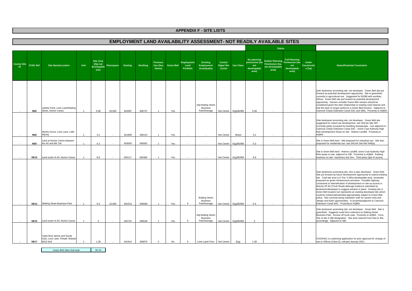#### **EMPLOYMENT LAND AVAILABILITY ASSESSMENT- NOT READILY AVAILABLE SITES**

|                    |                 |                                                                                    |      |                                                     |            |         |                 |                                             |                   |                                        |                                                          |                                      |                  |                                                | <b>Status</b>                                                               |                                                                        |                                             |                                                                                                                                                                                                                                                                                                                                                                                                                                                                                                                                                                                                                                                                                                                                                                                                                           |
|--------------------|-----------------|------------------------------------------------------------------------------------|------|-----------------------------------------------------|------------|---------|-----------------|---------------------------------------------|-------------------|----------------------------------------|----------------------------------------------------------|--------------------------------------|------------------|------------------------------------------------|-----------------------------------------------------------------------------|------------------------------------------------------------------------|---------------------------------------------|---------------------------------------------------------------------------------------------------------------------------------------------------------------------------------------------------------------------------------------------------------------------------------------------------------------------------------------------------------------------------------------------------------------------------------------------------------------------------------------------------------------------------------------------------------------------------------------------------------------------------------------------------------------------------------------------------------------------------------------------------------------------------------------------------------------------------|
| <b>County Site</b> | <b>CCDC Ref</b> | <b>Site Name/Location</b>                                                          | Unit | <b>Site Area</b><br>(Ha) net<br>developable<br>area | Floorspace | Easting | <b>Northing</b> | <b>Previous</b><br>Use (See<br><b>Notes</b> | <b>Green Belt</b> | <b>Employment</b><br>Land<br>Portfolio | <b>Existing</b><br>Employment<br><b>Area/Quality</b>     | Centre/<br>Edge/Not<br><b>Centre</b> | <b>Use Class</b> | permission (ha-<br>net<br>developable<br>area) | No planning Outline Planning<br>Permission (ha-<br>net developable<br>area) | <b>Full Planning</b><br>Permission (ha-<br>net<br>developable<br>area) | <b>Under</b><br><b>Constructio</b><br>n(ha) | <b>Notes/Potential Constraints</b>                                                                                                                                                                                                                                                                                                                                                                                                                                                                                                                                                                                                                                                                                                                                                                                        |
|                    | NE6             | Jubilee Field, Lime Lane/Watling<br><b>Street, Norton Canes</b>                    |      | 5.08                                                | 20,000     | 402087  | 306737          |                                             | Yes               |                                        | Adj. Watling Street<br><b>Business</b><br>Park/Average   | Not Centre                           | E(q)/B2/B8       | 5.08                                           |                                                                             |                                                                        |                                             | Sole landowner promoting site, not developer. Green Belt site put<br>forward as potential development opportunity. Site is greenfield,<br>currently in agricultural use. Suggested for B2/B8 with ancillary<br>offices. Green Belt site put forward as potential development<br>opportunity. Owners consider Green Belt revision should be<br>considered given the sites relationship to existing road network and<br>that the land no longer performs a Green Belt function. Adjacent to<br>Cannock Chase Extension Canal SAC and SBIs. Proximity to AQMA                                                                                                                                                                                                                                                                |
|                    | NE8             | Wyrley Grove, Lime Lane, Little<br>Wyrley                                          |      | 3.2                                                 |            | 401899  | 306123          | $\overline{1}$                              | Yes               |                                        |                                                          | Not Centre                           | Mixed            | 3.2                                            |                                                                             |                                                                        |                                             | Sole landowner promoting site, not developer. Green Belt site<br>suggested for mixed use development- see SHLAA Site N57.<br>Currently partly occupied by travelling showpeople. Lies adjacent to<br>Cannock Chase Extension Canal SAC. Some Coal Authority High<br>Risk Development Areas on site. Historic Landfill. Proximity to<br>AQMA.                                                                                                                                                                                                                                                                                                                                                                                                                                                                              |
|                    | NE9             | Land at Norton Canes between<br>the A5 and M6 Toll                                 |      | 0.3                                                 |            | 403009  | 306563          | $\overline{1}$                              | Yes               |                                        |                                                          | Not Centre                           | E(q)/B2/B8       | 0.3                                            |                                                                             |                                                                        |                                             | Site is Green Belt land. Site proposed for industrial use. Site also<br>proposed for residential use- see SHLAA Site Ref N49(a).                                                                                                                                                                                                                                                                                                                                                                                                                                                                                                                                                                                                                                                                                          |
|                    | <b>NE10</b>     | Land south of A5, Norton Canes                                                     |      | 8.8                                                 |            | 403117  | 306368          | $\overline{1}$                              | Yes               |                                        |                                                          | Not Centre                           | E(q)/B2/B8       | 8.8                                            |                                                                             |                                                                        |                                             | Site is Green Belt land. Historic Landfill, some Coal Authority High<br>Rish areas on site, adjacent to SBI. Proximity to AQMA. Existing<br>business on site- machinery hire firm. Third party right of access.                                                                                                                                                                                                                                                                                                                                                                                                                                                                                                                                                                                                           |
|                    | <b>NE12</b>     | <b>Watling Street Business Park</b>                                                |      | 5.5                                                 | 15,000     | 402313  | 306589          | $\overline{1}$                              | Yes               | 6                                      | <b>Watling Street</b><br><b>Business</b><br>Park/Average | Not Centre                           | E(g)/B2/B8       | 5.5                                            |                                                                             |                                                                        |                                             | Sole landowner promoting site, who is also developer. Green Belt.<br>Site put forward as future development opportunity to extend existing<br>site. Total site area is 9.7ha- 5.45ha developable area, remainder<br>proposed as green infrastructure provision. Possible highway<br>constraints to intensification of development on site as access is<br>directly off A5 (Trunk Road) although evidence submitted by<br>landowner/developer to suggest solution in place. Existing site is<br>Green Belt location but represents an existing developed site which<br>could be enhanced/extended appropriately subject to Green Belt<br>policy. Site currently being marketed- both for vacant units and<br>'design and build' opportunities. In proximity/adjacent to Cannock<br>Extension Canal SAC. Proximity to AQMA. |
|                    | <b>NE15</b>     | Land south of A5, Norton Canes                                                     |      | $\overline{\mathbf{3}}$                             |            | 402722  | 306539          | $\overline{1}$                              | Yes               | 6                                      | Adj. Watling Street<br><b>Business</b><br>Park/Average   | Not Centre                           | E(g)/B2/B8       | 3                                              |                                                                             |                                                                        |                                             | Sole landowner promoting site, not developer. Green Belt. Site is<br>greenfield. Suggests could form extension to Watling Street<br>Business Park. Access off trunk road. Proximity to AQMA. Circa<br>2ha of site is SBI designation. Site area reduced from 5ha to 3ha<br>accordingly. Adjacent to SBI.                                                                                                                                                                                                                                                                                                                                                                                                                                                                                                                  |
|                    | <b>NE17</b>     | Yates Bros Sports and Social<br>Club, Lime Lane, Pelsall, Walsal<br><b>WS3 5AS</b> |      | 1.38                                                |            | 401914  | 306875          | $\mathbf{A}$                                | No                | 5                                      | Lime Lane/ Poor                                          | Not Centre                           | E(q)             | 1.38                                           |                                                                             |                                                                        |                                             | CH/20/401 is a planning application for prior approval for change of<br>use to Offices (Class E), refused January 2021.                                                                                                                                                                                                                                                                                                                                                                                                                                                                                                                                                                                                                                                                                                   |

Green Belt Sites Sub-total65.23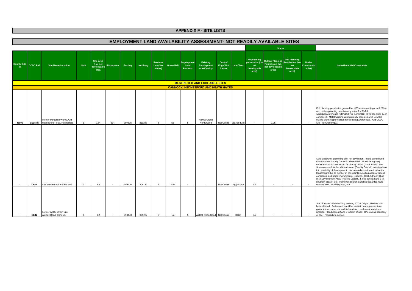|                          |                 |                                                            |                |                                                     |            |         |          |                                       |                   |                                        | <b>EMPLOYMENT LAND AVAILABILITY ASSESSMENT- NOT READILY AVAILABLE SITES</b> |                               |                         |                                            |                                                                                                           |                             |                                              |                                                                                                                                                                                                                                                                                                                                                                                                                                                                                                                                                                                                                                                                            |
|--------------------------|-----------------|------------------------------------------------------------|----------------|-----------------------------------------------------|------------|---------|----------|---------------------------------------|-------------------|----------------------------------------|-----------------------------------------------------------------------------|-------------------------------|-------------------------|--------------------------------------------|-----------------------------------------------------------------------------------------------------------|-----------------------------|----------------------------------------------|----------------------------------------------------------------------------------------------------------------------------------------------------------------------------------------------------------------------------------------------------------------------------------------------------------------------------------------------------------------------------------------------------------------------------------------------------------------------------------------------------------------------------------------------------------------------------------------------------------------------------------------------------------------------------|
|                          |                 |                                                            |                |                                                     |            |         |          |                                       |                   |                                        |                                                                             |                               |                         |                                            | <b>Status</b>                                                                                             |                             |                                              |                                                                                                                                                                                                                                                                                                                                                                                                                                                                                                                                                                                                                                                                            |
| <b>County Site</b><br>ID | <b>CCDC Ref</b> | <b>Site Name/Location</b>                                  | Unit           | <b>Site Area</b><br>(Ha) net<br>developable<br>area | Floorspace | Easting | Northing | <b>Previous</b><br>Use (See<br>Notes) | <b>Green Belt</b> | <b>Employment</b><br>Land<br>Portfolio | <b>Existing</b><br>Employment<br><b>Area/Quality</b>                        | Centre/<br>Edge/Not<br>Centre | <b>Use Class</b>        | No planning<br>net<br>developable<br>area) | Outline Planning<br>Permission (ha-<br>permission (ha- <b>Permission (ha-</b><br>net developable<br>area) | net<br>developable<br>area) | <b>Under</b><br><b>Constructio</b><br>n (ha) | <b>Notes/Potential Constraints</b>                                                                                                                                                                                                                                                                                                                                                                                                                                                                                                                                                                                                                                         |
|                          |                 |                                                            |                |                                                     |            |         |          |                                       |                   |                                        | <b>RESTRICTED AND EXCLUDED SITES</b>                                        |                               |                         |                                            |                                                                                                           |                             |                                              |                                                                                                                                                                                                                                                                                                                                                                                                                                                                                                                                                                                                                                                                            |
|                          |                 |                                                            |                |                                                     |            |         |          |                                       |                   |                                        | <b>CANNOCK, HEDNESFORD AND HEATH HAYES</b>                                  |                               |                         |                                            |                                                                                                           |                             |                                              |                                                                                                                                                                                                                                                                                                                                                                                                                                                                                                                                                                                                                                                                            |
| 43090                    | <b>CE15(b)</b>  | Former Porcelain Works, Old<br>Hednesford Road, Hednesford | $\overline{1}$ | 0.54                                                | 814        | 399698  | 311288   | $\overline{3}$                        | No                | -5                                     | Hawks Green<br>North/Good                                                   |                               | Not Centre E(g)/B8,E(b) |                                            | 0.25                                                                                                      |                             | $\sim$                                       | Full planning permission granted for KFC restaurant (approx 0.29ha)<br>and outline planning permission granted for B1/B8<br>workshop/warehouse (CH/11/0179), April 2012. KFC has since been<br>completed. Metal working yard currently occupies area granted<br>outline planning permission for workshop/warehouse. Old CCDC<br>Site Ref CH/08/0101.                                                                                                                                                                                                                                                                                                                       |
|                          | <b>CE19</b>     | Site between A5 and M6 Toll                                | $-1$           | 9.4                                                 | in 1919.   | 399276  | 308110   | $\overline{1}$                        | Yes               |                                        | $\sim$                                                                      | Not Centre                    | E(q)/B2/B8              | 9.4                                        |                                                                                                           |                             |                                              | Sole landowner promoting site, not developer. Public owned land<br>(Staffordshire County Council). Green Belt. Possible highway<br>constraints as access would be directly off A5 (Trunk Road). Site<br>since assessed further via landowner (County Council) investigations<br>into feasibility of development. Not currently considered viable (in<br>longer term) due to number of constraints including access, ground<br>conditions, and other environmental features. Coal Authority High<br>Risk Development Area. Historic Landfill. Flood zones 2 and 3 to<br>southern area of site. Hatherton Branch canal safeguarded route<br>runs via site. Proximity to AQMA |
|                          | <b>CE42</b>     | Former ATOS Origin Site,<br>Walsall Road, Cannock          |                | 3.2                                                 |            | 398443  | 309277   | $\mathbf{3}$                          | No                | -5                                     | Walsall Road/Good                                                           | Not Centre                    | B1(a)                   | 3.2                                        |                                                                                                           |                             |                                              | Site of former office building housing ATOS Origin. Site has now<br>been cleared. Preference would be to retain in employment use<br>given former use of site and its location. Landowner intentions<br>unclear. Flood Zones 2 and 3 to front of site. TPOs along boundary<br>of site. Proximity to AQMA.                                                                                                                                                                                                                                                                                                                                                                  |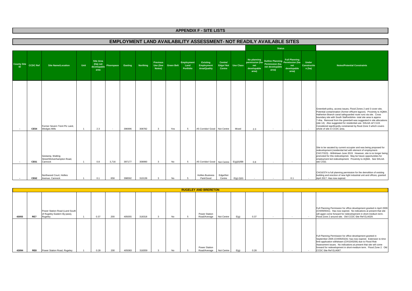|                          |                 |                                                           |      |                                                     |                   |         |          |                                       |                   |                                        | EMPLOYMENT LAND AVAILABILITY ASSESSMENT- NOT READILY AVAILABLE SITES |                               |                  |                                                               |                                                                                    |                                                     |                                             |                                                                                                                                                                                                                                                                                                                                                                                                                                                                                                                            |
|--------------------------|-----------------|-----------------------------------------------------------|------|-----------------------------------------------------|-------------------|---------|----------|---------------------------------------|-------------------|----------------------------------------|----------------------------------------------------------------------|-------------------------------|------------------|---------------------------------------------------------------|------------------------------------------------------------------------------------|-----------------------------------------------------|---------------------------------------------|----------------------------------------------------------------------------------------------------------------------------------------------------------------------------------------------------------------------------------------------------------------------------------------------------------------------------------------------------------------------------------------------------------------------------------------------------------------------------------------------------------------------------|
|                          |                 |                                                           |      |                                                     |                   |         |          |                                       |                   |                                        |                                                                      |                               |                  |                                                               | <b>Status</b>                                                                      |                                                     |                                             |                                                                                                                                                                                                                                                                                                                                                                                                                                                                                                                            |
| <b>County Site</b><br>ID | <b>CCDC Ref</b> | <b>Site Name/Location</b>                                 | Unit | <b>Site Area</b><br>(Ha) net<br>developable<br>area | <b>Floorspace</b> | Easting | Northing | <b>Previous</b><br>Use (See<br>Notes) | <b>Green Belt</b> | <b>Employment</b><br>Land<br>Portfolio | <b>Existing</b><br>Employment<br><b>Area/Quality</b>                 | Centre/<br>Edge/Not<br>Centre | <b>Use Class</b> | No planning<br>permission (ha-<br>net<br>developable<br>area) | Outline Planning<br>Permission (ha-<br>Permission (ha-<br>net developable<br>area) | <b>Full Planning</b><br>net<br>developable<br>area) | <b>Under</b><br><b>Constructio</b><br>n(ha) | <b>Notes/Potential Constraints</b>                                                                                                                                                                                                                                                                                                                                                                                                                                                                                         |
| $\sim$                   | <b>CE54</b>     | Former Severn Trent Plc Land.<br><b>Wedges Mills</b>      |      | 2.3                                                 |                   | 396996  | 308782   |                                       | Yes               |                                        | A5 Corridor/ Good Not Centre                                         |                               | Mixed            | 2.3                                                           | $\sim$                                                                             |                                                     |                                             | Greenbelt policy, access issues, Flood Zones 2 and 3 cover site,<br>Potential contamination (former effluent lagoon). Proximity to AQMA.<br>Hatherton Branch canal safeguarded route runs via site. Cross<br>boundary site with South Staffordshire- total site area is approx<br>7.4ha. Removal from the greenbelt was suggested in site allocations<br>(site 14). Also suggested for residential use-SHLAA ref C119.<br>Considered significantly constrained by flood Zone 3 which covers<br>whole of site in CCDC area. |
| $\sim$                   | CE61            | Gestamp, Watling<br>Street/Wolverhampton Road,<br>Cannock |      | 0.8                                                 | 3,716             | 397177  | 308990   |                                       | No                |                                        | A5 Corridor/ Good Not Centre                                         |                               | $E(q)$ (ii)/B8   | 0.8                                                           |                                                                                    |                                                     |                                             | Site to be vacated by current occupier and was being proposed for<br>redevelopment (residential led with element of employment-<br>CH/17/323) - Withdrawn June 2019. However, site is no longer being<br>promoted for this redevelopmet. May be future opportunities for<br>employment led redevelopment. Proximity to AQMA. See SHLAA<br>site C432.                                                                                                                                                                       |
|                          | <b>CE62</b>     | Northwood Court, Hollies<br>Avenue, Cannock               |      | 0.1                                                 | 658               | 398592  | 310139   |                                       | No                |                                        | <b>Hollies Business</b><br>Park/Good                                 | Edge/Not<br>Centre            | $E(g)$ (i)(ii)   |                                                               |                                                                                    | 0.1                                                 |                                             | CH/16/374 is full planning permission for the demolition of existing<br>building and erection of new light industrial unit and offices, granted<br>April 2017. Has now expired.                                                                                                                                                                                                                                                                                                                                            |

|       |     |                                                                           |      |     |        |        |    | <b>RUGELEY AND BRERETON</b>          |            |      |      |  |                                                                                                                                                                                                                                                                                                                                                               |
|-------|-----|---------------------------------------------------------------------------|------|-----|--------|--------|----|--------------------------------------|------------|------|------|--|---------------------------------------------------------------------------------------------------------------------------------------------------------------------------------------------------------------------------------------------------------------------------------------------------------------------------------------------------------------|
| 43055 | RE7 | Power Station Road (Land South<br>of Rugeley Eastern By-pass),<br>Rugeley | 0.37 | 200 | 405055 | 318318 | No | <b>Power Station</b><br>Road/Average | Not Centre | E(q) | 0.37 |  | Full Planning Permission for office development granted in April 2009<br>(CH/09/0041). Has now expired. No indications at present that site<br>will again come forward for redevelopment in short-medium term.<br>Flood Zone 2 around site. Old CCDC Site Ref ELA029.                                                                                         |
| 43094 | RE8 | Power Station Road, Rugeley                                               | 0.28 | 200 | 405083 | 318359 | Nο | Power Station<br>Road/Average        | Not Centre | E(a) | 0.28 |  | Full Planning Permission for office development granted in<br>September 2005 (CH/05/0324)- has now expired. Extension to time<br>limit application withdrawn (CH/10/0206) due to Flood Risk<br>Assessment issues. No indications at present that site will come<br>forward for redevelopment in short-medium term. Flood Zone 2. Old<br>CCDC Site Ref ELA067. |

#### **EMPLOYMENT LAND AVAILABILITY ASSESSMENT- NOT READILY AVAILABLE SITES**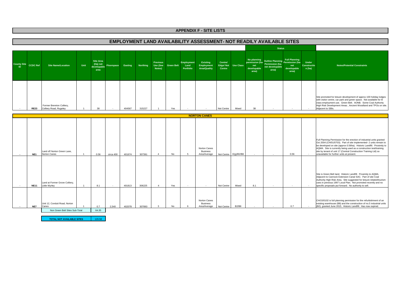### **EMPLOYMENT LAND AVAILABILITY ASSESSMENT- NOT READILY AVAILABLE SITES**

|                                 |                 |                                                     |      |                                                     |            |         |                 |                                       |                   |                                 |                                               |                                                |       |                                            | <b>Status</b>                                                                                   |                                                     |                                              |                                                                                                                                                                                                                                                                                                 |
|---------------------------------|-----------------|-----------------------------------------------------|------|-----------------------------------------------------|------------|---------|-----------------|---------------------------------------|-------------------|---------------------------------|-----------------------------------------------|------------------------------------------------|-------|--------------------------------------------|-------------------------------------------------------------------------------------------------|-----------------------------------------------------|----------------------------------------------|-------------------------------------------------------------------------------------------------------------------------------------------------------------------------------------------------------------------------------------------------------------------------------------------------|
| <b>County Site</b><br><b>ID</b> | <b>CCDC Ref</b> | Site Name/Location                                  | Unit | <b>Site Area</b><br>(Ha) net<br>developable<br>area | Floorspace | Easting | <b>Northing</b> | <b>Previous</b><br>Use (See<br>Notes) | <b>Green Belt</b> | Employment<br>Land<br>Portfolio | Existing<br>Employment<br><b>Area/Quality</b> | Centre/<br>Edge/Not Use Class<br><b>Centre</b> |       | No planning<br>net<br>developable<br>area) | Outline Planning Permission (ha-<br>permission (ha- Permission (ha-<br>net developable<br>area) | <b>Full Planning</b><br>net<br>developable<br>area) | <b>Under</b><br><b>Constructio</b><br>n (ha) | <b>Notes/Potential Constraints</b>                                                                                                                                                                                                                                                              |
|                                 | <b>RE23</b>     | Former Brereton Colliery,<br>Colliery Road, Rugeley |      | 38                                                  |            | 404567  | 315227          |                                       | Yes               |                                 |                                               | Not Centre                                     | Mixed | 38                                         |                                                                                                 |                                                     |                                              | Site promoted for leisure development of approx 100 holiday lodges<br>with visitor centre, car park and green space. Not available for B<br>class employment use. Green Belt. AONB. Some Coal Authority<br>High Risk Development Areas, Ancient Woodland and TPOs on site.<br>Adjacent to SBIs. |

|                 |                                                 |       |           |        |        |     | <b>NORTON CANES</b>                             |                       |              |     |      |                                                                                                                                                                                                                                                                                                                                                                                                             |
|-----------------|-------------------------------------------------|-------|-----------|--------|--------|-----|-------------------------------------------------|-----------------------|--------------|-----|------|-------------------------------------------------------------------------------------------------------------------------------------------------------------------------------------------------------------------------------------------------------------------------------------------------------------------------------------------------------------------------------------------------------------|
| NE <sub>1</sub> | Land off Norton Green Lane.<br>Norton Canes     | 0.56  | circa 400 | 401674 | 307391 | No  | Norton Canes<br><b>Business</b><br>Area/Average | Not Centre E(g)/B2/B8 |              |     | 0.56 | Full Planning Permission for the erection of industrial units granted<br>Oct 2004 (CH/01/0703). Part of site implemented- 2 units remain to<br>be developed on site (approx 0.56ha). Historic Landfill. Proximity to<br>AQMA. Site is currently being used as a construction test/training<br>site by tenant of unit 17 (Central Construction Training Ltd) so<br>unavailable for further units at present. |
| <b>NE11</b>     | Land at Former Grove Colliery,<br>Little Wyrley | 8.1   |           | 401813 | 306225 | Yes | $\sim$                                          | Not Centre            | Mixed        | 8.1 |      | Site is Green Belt land. Historic Landfill. Proximity to AQMA.<br>Adjacent to Cannock Extension Canal SAC. Part of site Coal<br>Authority High Risk Area. Site suggested for leisure-related/tourism<br>uses in previous 1997 Local Plan. Not promoted recently and no<br>specific proposals put forward. No authority to sell.                                                                             |
| NE7             | Unit 12, Conduit Road, Norton<br>Canes          | 0.7   | 2,540     | 402078 | 307893 | No. | Norton Canes<br><b>Business</b><br>Area/Average | Not Centre            | <b>B2/B8</b> |     | 0.7  | CH/15/0102 is full planning permission for the refurbishment of an<br>existing warehouse (B8) and the construction of no.5 industrial units<br>(B2), granted June 2015. Historic Landfill. Has now expired.                                                                                                                                                                                                 |
|                 | Non Green Belt Sites Sub-Total                  | 64.35 |           |        |        |     |                                                 |                       |              |     |      |                                                                                                                                                                                                                                                                                                                                                                                                             |

**TOTAL NOT AVAILABLE SITES**129.58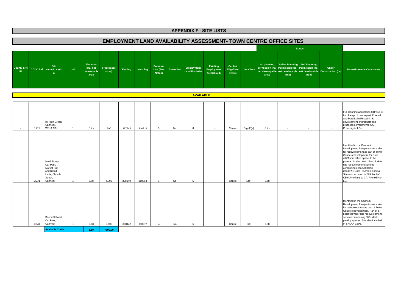**County Site ID**<sup>ty Site</sup> CCDC Ref Name/Locatio<br>D n **Site n UnitSite Area (Ha) net developable areaFloorspace (sqm) Easting Northing Previous Use (See Notes)Green Belt Employment Land Portfolio Existing Employment Area/QualityCentre/ No planning Outline Planning Full Planning<br>
Edge/ Not Use Class permission (ha- Permission (ha- Centre<br>
Centre developable aret developable area)<br>
area) Outline Pranning Permission (ha- permission (ha- net developable area)**<br>
Intertational Planning Permission (ha- net developable Construction (ha)<br> **Area)** area) areal areal areal areal areal areal areal areal areal areal  **CE70**87 High Green Cannock, WS11 1BJ 1 0.13 <sup>390</sup> <sup>397846</sup> <sup>310214</sup> <sup>3</sup> No <sup>6</sup> - Centre E(g)/E(a) 0.13 - - - Full planning application CH/20/116 for change of use to part A1 retail and Part B1(b) Research & development of products and processes. Proximity to CA. Proximity to LBs.  **CE73**Multi Storey Car Park, Market Hall and Retail Units, Church Street, Cannock Cannock <sup>1</sup> 0.78 4,000 398140 310254 3 No <sup>5</sup>5 | Centre E(g) 0.78 - - - Identified in the Cannock Development Prospectus as a site for redevelopment as part of Town Centre redevelopment for circa 4,000sqm office space, to be pursued in short term. Part of wider site redevelopment scheme comprising circa 5,000sqm retail/F&B units, 5screen cinema. Site also included in SHLAA Ref: C504.Proximity to CA. Promxity to LB.**CE40**Beecroft Road Car Park, Cannockk | 1 | 0.68 | 3,500 | 398142 | 310377 | 4 | No | 5 | - | Centre | E(g) | 0.68 | - | - | - | -Identified in the Cannock Development Prospectus as a site for redevelopment as part of Town Centre redevelopment. Part of a potential wider site redevelopment scheme comprising 300+ deck parking spaces. Site also included in SHLAA C506.**APPENDIX F - SITE LISTS EMPLOYMENT LAND AVAILABILITY ASSESSMENT- TOWN CENTRE OFFICE SITES Status AVAILABLE**

**1.59 7890.00Available Totals**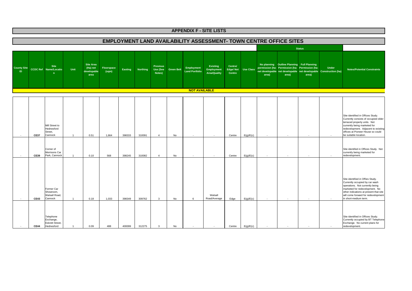### **EMPLOYMENT LAND AVAILABILITY ASSESSMENT- TOWN CENTRE OFFICE SITES**

|                          |             |                                                                |                |                                                     |                     |                |                 |                                       |                   |                                     |                                               |                                      |                  |        | <b>Status</b>                                                                                          |                          |                                                                                   |                                                                                                                                                                                                                                                   |
|--------------------------|-------------|----------------------------------------------------------------|----------------|-----------------------------------------------------|---------------------|----------------|-----------------|---------------------------------------|-------------------|-------------------------------------|-----------------------------------------------|--------------------------------------|------------------|--------|--------------------------------------------------------------------------------------------------------|--------------------------|-----------------------------------------------------------------------------------|---------------------------------------------------------------------------------------------------------------------------------------------------------------------------------------------------------------------------------------------------|
| <b>County Site</b><br>ID |             | <b>Site</b><br><b>CCDC Ref</b> Name/Locatio<br>$\mathbf{n}$    | Unit           | <b>Site Area</b><br>(Ha) net<br>developable<br>area | Floorspace<br>(sqm) | <b>Easting</b> | <b>Northing</b> | <b>Previous</b><br>Use (See<br>Notes) | <b>Green Belt</b> | Employment<br><b>Land Portfolio</b> | Existing<br>Employment<br><b>Area/Quality</b> | Centre/<br><b>Edge/Not</b><br>Centre | <b>Use Class</b> | area)  | No planning Outline Planning Full Planning<br>permission (ha- Permission (ha- Permission (ha-<br>area) | area)                    | <b>Under</b><br>net developable net developable net developable Construction (ha) | <b>Notes/Potential Constraints</b>                                                                                                                                                                                                                |
|                          |             |                                                                |                |                                                     |                     |                |                 |                                       |                   | <b>NOT AVAILABLE</b>                |                                               |                                      |                  |        |                                                                                                        |                          |                                                                                   |                                                                                                                                                                                                                                                   |
|                          |             |                                                                |                |                                                     |                     |                |                 |                                       |                   |                                     |                                               |                                      |                  |        |                                                                                                        |                          |                                                                                   |                                                                                                                                                                                                                                                   |
|                          | <b>CE37</b> | Mill Street to<br>Hednesford<br>Street,<br>Cannock             | $\overline{1}$ | 0.51                                                | 1,664               | 398333         | 310091          | $\overline{4}$                        | No                | $\sim$                              | $\sim$                                        | Centre                               | E(g)/E(c)        | $\sim$ | $\overline{\phantom{a}}$                                                                               | $\overline{\phantom{a}}$ |                                                                                   | Site identified in Offices Study.<br>Currently consists of occupied older<br>terraced property units. Not<br>currently being marketed for<br>redevelopment. Adjacent to existing<br>offices at Pioneer House so could<br>be suitable location.    |
|                          | <b>CE39</b> | Corner of<br>Morrisons Car<br>Park, Cannock                    |                | 0.10                                                | 568                 | 398245         | 310082          | $\overline{4}$                        | No                | $\sim$                              |                                               | Centre                               | E(g)/E(c)        | $\sim$ |                                                                                                        |                          |                                                                                   | Site identifed in Offices Study. Not<br>currently being marketed for<br>redevelopment.                                                                                                                                                            |
| $\overline{\phantom{a}}$ | <b>CE43</b> | Former Car<br>Showroom,<br>Walsall Road,<br>Cannock            | $\overline{1}$ | 0.18                                                | 1,033               | 398349         | 309762          | $\mathbf{3}$                          | No                | 6                                   | Walsall<br>Road/Average                       | Edge                                 | E(g)/E(c)        | $\sim$ | $\sim$                                                                                                 | $\epsilon$               |                                                                                   | Site identified in Offies Study.<br>Currently occupied by car wash<br>operations. Not currently being<br>marketed for redevelopment. No<br>other indications at present that site<br>will come forward for redevelopment<br>in short-medium term. |
|                          | <b>CE44</b> | Telephone<br>Exchange,<br><b>Eskrett Street,</b><br>Hednesford |                | 0.09                                                | 488                 | 400099         | 312275          | $\mathbf{3}$                          | No                |                                     |                                               | Centre                               | E(g)/E(c)        |        |                                                                                                        |                          |                                                                                   | Site identified in Offices Study.<br>Currently occupied by BT Telephone<br>Exchange. No current plans for<br>redevelopment.                                                                                                                       |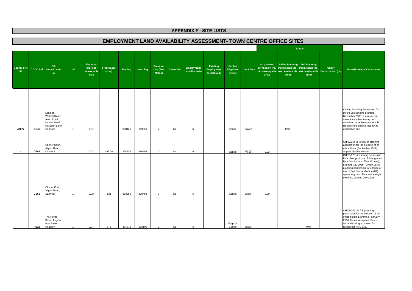### **EMPLOYMENT LAND AVAILABILITY ASSESSMENT- TOWN CENTRE OFFICE SITES**

|                                 |             |                                                                                      |                |                                                     |                     |                |          |                                              |                   |                                     |                                                      |                                      |                  |        |                                                                                                        | <b>Status</b>            |                                                                                   |                                                                                                                                                                                                                                                                                                    |
|---------------------------------|-------------|--------------------------------------------------------------------------------------|----------------|-----------------------------------------------------|---------------------|----------------|----------|----------------------------------------------|-------------------|-------------------------------------|------------------------------------------------------|--------------------------------------|------------------|--------|--------------------------------------------------------------------------------------------------------|--------------------------|-----------------------------------------------------------------------------------|----------------------------------------------------------------------------------------------------------------------------------------------------------------------------------------------------------------------------------------------------------------------------------------------------|
| <b>County Site</b><br><b>ID</b> |             | <b>Site</b><br><b>CCDC Ref</b> Name/Locatio<br>n                                     | Unit           | <b>Site Area</b><br>(Ha) net<br>developable<br>area | Floorspace<br>(sqm) | <b>Easting</b> | Northing | <b>Previous</b><br><b>Use (See</b><br>Notes) | <b>Green Belt</b> | Employment<br><b>Land Portfolio</b> | <b>Existing</b><br>Employment<br><b>Area/Quality</b> | Centre/<br><b>Edge/Not</b><br>Centre | <b>Use Class</b> | area)  | No planning Outline Planning Full Planning<br>permission (ha- Permission (ha- Permission (ha-<br>area) | area)                    | <b>Under</b><br>net developable net developable net developable Construction (ha) | <b>Notes/Potential Constraints</b>                                                                                                                                                                                                                                                                 |
| 43077                           | <b>CE46</b> | Land at<br>Walsall Road,<br>Avon Road,<br>Hunter Road,<br>Hallcourt Lane.<br>Cannock | $\overline{1}$ | 0.97                                                | $\sim$              | 398126         | 309951   | $\overline{4}$                               | No                | 6                                   | $\sim$                                               | Centre                               | Mixed            | $\sim$ | 0.97                                                                                                   | $\overline{\phantom{a}}$ |                                                                                   | Outline Planning Permission for<br>mixed use scheme granted<br>November 2009. However, an<br>alternative scheme may be<br>submitted in replacement of this.<br>Refurbished cinema recently re-<br>opened on site.                                                                                  |
| . п.                            | <b>CE64</b> | Chenet Court,<br>Allport Road,<br>Cannock                                            | $\overline{1}$ | 0.03                                                | 192.00              | 398238         | 310494   | 3                                            | No                | 6                                   | $\sim$                                               | Centre                               | E(g)(i)          | 0.03   | $\sim$                                                                                                 | $\overline{\phantom{a}}$ |                                                                                   | CH/17/254 is refusal of planning<br>application for the erection of an<br>office block (September 2017).<br>Appeal also dismissed.                                                                                                                                                                 |
| $\overline{\phantom{a}}$        | <b>CE65</b> | Chenet Court,<br>Allport Road,<br>Cannock                                            | $\overline{1}$ | 0.08                                                | 131                 | 398250         | 310491   | 3                                            | No                | 6                                   | $\sim$                                               | Centre                               | E(g)(i)          | 0.08   | $\sim$                                                                                                 | $\sim$                   | ٠                                                                                 | CH/18/120 is planning permission<br>for a change of use of 2no. ground<br>floor flats into an office (B1 use),<br>granted May 2018. CH/19/163 is<br>planning permission for change of<br>use of first floor and office (B1)<br>space at ground floor into a single<br>dwelling, granted July 2019. |
|                                 | <b>RE26</b> | The Royal<br>British Legion,<br>Bow Street,<br>Rugeley                               | $\overline{1}$ | 0.07                                                | 376                 | 404276         | 318109   | 3                                            | No                | 6                                   |                                                      | Edge of<br>Centre                    | E(g)(i)          |        | $\sim$                                                                                                 | 0.07                     |                                                                                   | CH/15/0491 is full planning<br>permission for the erection of an<br>office building, granted February<br>2016. Has now expired. Site is<br>currently being promoted for<br>residential HMO use.                                                                                                    |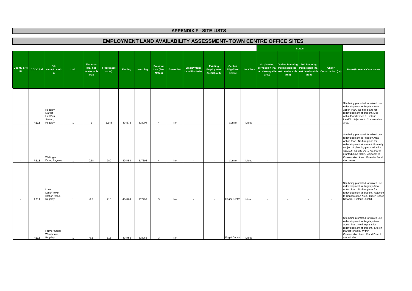### **EMPLOYMENT LAND AVAILABILITY ASSESSMENT- TOWN CENTRE OFFICE SITES**

|                                 |             |                                                      |                |                                                     |                     |                |                 |                                              |                   |                                     |                                                      |                                      |                  |       |                                                                                                        | <b>Status</b> |                                                                                   |                                                                                                                                                                                                                                                                                                               |
|---------------------------------|-------------|------------------------------------------------------|----------------|-----------------------------------------------------|---------------------|----------------|-----------------|----------------------------------------------|-------------------|-------------------------------------|------------------------------------------------------|--------------------------------------|------------------|-------|--------------------------------------------------------------------------------------------------------|---------------|-----------------------------------------------------------------------------------|---------------------------------------------------------------------------------------------------------------------------------------------------------------------------------------------------------------------------------------------------------------------------------------------------------------|
| <b>County Site</b><br><b>ID</b> |             | <b>Site</b><br><b>CCDC Ref</b> Name/Locatio<br>n     | Unit           | <b>Site Area</b><br>(Ha) net<br>developable<br>area | Floorspace<br>(sqm) | <b>Easting</b> | <b>Northing</b> | <b>Previous</b><br><b>Use (See</b><br>Notes) | <b>Green Belt</b> | Employment<br><b>Land Portfolio</b> | Existing<br><b>Employment</b><br><b>Area/Quality</b> | Centre/<br><b>Edge/Not</b><br>Centre | <b>Use Class</b> | area) | No planning Outline Planning Full Planning<br>permission (ha- Permission (ha- Permission (ha-<br>area) | area)         | <b>Under</b><br>net developable net developable net developable Construction (ha) | <b>Notes/Potential Constraints</b>                                                                                                                                                                                                                                                                            |
|                                 | <b>RE15</b> | Rugeley<br>Market<br>Hall/Bus<br>Station,<br>Rugeley | $\overline{1}$ | $\overline{1}$                                      | 1,148               | 404372         | 318004          | $\overline{4}$                               | No                | $\sim$                              | $\sim$                                               | Centre                               | Mixed            |       |                                                                                                        |               |                                                                                   | Site being promoted for mixed use<br>redevelopment in Rugeley Area<br>Action Plan. No firm plans for<br>redevelopment at present. Lies<br>within Flood zones 2. Historic<br>Landfill. Adjacent to Conservation<br>Area.                                                                                       |
|                                 | <b>RE16</b> | Wellington<br>Drive, Rugeley                         | $\overline{1}$ | 0.68                                                | 780                 | 404454         | 317898          | $\overline{4}$                               | No                | $\sim$                              | $\overline{\phantom{a}}$                             | Centre                               | Mixed            |       |                                                                                                        |               |                                                                                   | Site being promoted for mixed use<br>redevelopment in Rugeley Area<br>Action Plan. No firm plans for<br>redevelopment at present. Formerly<br>subject of planning permission for<br>A1/2/3/5, C3 and D2 (CH/03/0744-<br>granted June 2005). Adjacent to<br>Conservation Area. Potential flood<br>risk issues. |
|                                 | <b>RE17</b> | Love<br>Lane/Power<br>Station Road,<br>Rugeley       | $\overline{1}$ | 0.8                                                 | 918                 | 404904         | 317992          | $\mathbf{3}$                                 | No                | $\sim$                              | $\overline{\phantom{a}}$                             | Edge/ Centre                         | Mixed            |       |                                                                                                        |               |                                                                                   | Site being promoted for mixed use<br>redevelopment in Rugeley Area<br>Action Plan. No firm plans for<br>redevelopment at present. Adjacent<br>to Conservation Area. Green Space<br>Network. Historic Landfill                                                                                                 |
|                                 | <b>RE18</b> | Former Canal<br>Warehouse,<br>Rugeley                |                | 0.1                                                 | 115                 | 404756         | 318063          | 3                                            | No                |                                     |                                                      | Edge/ Centre                         | Mixed            |       |                                                                                                        |               |                                                                                   | Site being promoted for mixed use<br>redevelopment in Rugeley Area<br>Action Plan. No firm plans for<br>redevelopment at present. Site on<br>market for sale. Within<br>Conservation Area. Flood Zone 2<br>around site.                                                                                       |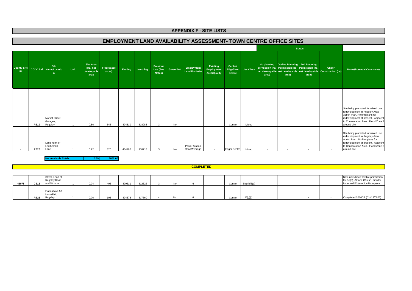### **EMPLOYMENT LAND AVAILABILITY ASSESSMENT- TOWN CENTRE OFFICE SITES**

|                           |             |                                                  |      |                                              |                     |         |                 |                                       |                   |                                     |                                               |                               |                  |       |                                                     | <b>Status</b>                                            |                                                                                   |                                                                                                                                                                                                  |
|---------------------------|-------------|--------------------------------------------------|------|----------------------------------------------|---------------------|---------|-----------------|---------------------------------------|-------------------|-------------------------------------|-----------------------------------------------|-------------------------------|------------------|-------|-----------------------------------------------------|----------------------------------------------------------|-----------------------------------------------------------------------------------|--------------------------------------------------------------------------------------------------------------------------------------------------------------------------------------------------|
| <b>County Site</b><br>ID. |             | <b>Site</b><br><b>CCDC Ref</b> Name/Locatio<br>n | Unit | Site Area<br>(Ha) net<br>developable<br>area | Floorspace<br>(sqm) | Easting | <b>Northing</b> | <b>Previous</b><br>Use (See<br>Notes) | <b>Green Belt</b> | Employment<br><b>Land Portfolio</b> | Existing<br>Employment<br><b>Area/Quality</b> | Centre/<br>Edge/Not<br>Centre | <b>Use Class</b> | area) | No planning Outline Planning Full Planning<br>area) | permission (ha- Permission (ha- Permission (ha-<br>area) | <b>Under</b><br>net developable net developable net developable Construction (ha) | <b>Notes/Potential Constraints</b>                                                                                                                                                               |
|                           | <b>RE19</b> | <b>Market Street</b><br>Garages,<br>Rugeley      |      | 0.56                                         | 643                 | 404510  | 318283          | 3                                     | No                | $\overline{\phantom{a}}$            | $\sim$                                        | Centre                        | Mixed            |       | . п.                                                | $\sim$                                                   |                                                                                   | Site being promoted for mixed use<br>redevelopment in Rugeley Area<br>Action Plan. No firm plans for<br>redevelopment at present. Adjacent<br>to Conservation Area. Flood Zone 2<br>around site. |
|                           | <b>RE20</b> | Land north of<br>Leathermill<br>Lane             |      | 0.72                                         | 826                 | 404790  | 318218          | 3                                     | No                | Power Station<br>Road/Average       | $\sim$                                        | Edge/ Centre                  | Mixed            |       |                                                     |                                                          |                                                                                   | Site being promoted for mixed use<br>redevelopment in Rugeley Area<br>Action Plan. No firm plans for<br>redevelopment at present. Adjacent<br>to Conservation Area. Flood Zone 2<br>around site. |

**5.89 8882.00Not Available Totals**

 **COMPLETED**

| 43078 | <b>CE13</b> | Street, Land at<br>Rugeley Road<br>and Victoria | 0.04 | 406 | 400311 | 312322 | No |  | Centre | E(a)(i)/E(c) |  |  | Note units have flexible permission<br>for B1(a), A2 and C3 use- monitor<br>for actual B1(a) office floorspace |
|-------|-------------|-------------------------------------------------|------|-----|--------|--------|----|--|--------|--------------|--|--|----------------------------------------------------------------------------------------------------------------|
|       | <b>RE21</b> | Flats above 57<br>HorseFair,<br>Rugeley         | 0.06 |     | 404578 | 317660 | No |  | Centre | E(g)(i)      |  |  | Completed 2016/17 (CH/13/0023)                                                                                 |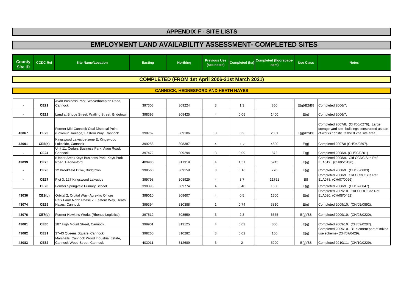| <b>County</b><br><b>Site ID</b> | <b>CCDC Ref</b> | <b>Site Name/Location</b>                                                        | <b>Easting</b> | <b>Northing</b>                                        | <b>Previous Use</b><br>(see notes) | Completed (ha) | Completed (floorspace-<br>sqm) | <b>Use Class</b> | <b>Notes</b>                                                                                                                          |
|---------------------------------|-----------------|----------------------------------------------------------------------------------|----------------|--------------------------------------------------------|------------------------------------|----------------|--------------------------------|------------------|---------------------------------------------------------------------------------------------------------------------------------------|
|                                 |                 |                                                                                  |                |                                                        |                                    |                |                                |                  |                                                                                                                                       |
|                                 |                 |                                                                                  |                | <b>COMPLETED (FROM 1st April 2006-31st March 2021)</b> |                                    |                |                                |                  |                                                                                                                                       |
|                                 |                 |                                                                                  |                | <b>CANNOCK, HEDNESFORD AND HEATH HAYES</b>             |                                    |                |                                |                  |                                                                                                                                       |
|                                 |                 |                                                                                  |                |                                                        |                                    |                |                                |                  |                                                                                                                                       |
|                                 | <b>CE21</b>     | Avon Business Park, Wolverhampton Road,<br>Cannock                               | 397305         | 309224                                                 | 3                                  | 1.3            | 850                            | E(g)/B2/B8       | Completed 2006/7.                                                                                                                     |
|                                 | <b>CE22</b>     | Land at Bridge Street, Watling Street, Bridgtown                                 | 398395         | 308425                                                 | 4                                  | 0.05           | 1400                           | E(g)             | Completed 2006/7.                                                                                                                     |
| 43067                           | <b>CE23</b>     | Former Mid-Cannock Coal Disposal Point<br>(Bowmur Haulage), Eastern Way, Cannock | 398762         | 309106                                                 | 3                                  | 0.2            | 2081                           | E(g)/B2/B8       | Completed 2007/8. (CH/06/0276). Large<br>storage yard site- buildings constructed as part<br>of works constitute the 0.2ha site area. |
| 43091                           | CE5(b)          | Kingswood Lakeside-zone E, Kingswood<br>Lakeside, Cannock                        | 399258         | 308387                                                 | 4                                  | 1.2            | 4500                           | E(g)             | Completed 2007/8 (CH/04/0597).                                                                                                        |
| $\blacksquare$                  | <b>CE24</b>     | Unit 11, Cedars Business Park, Avon Road,<br>Cannock                             | 397472         | 309294                                                 | 3                                  | 0.09           | 872                            | E(g)             | Completed 2008/9. (CH/08/0201)                                                                                                        |
| 43039                           | <b>CE25</b>     | (Upper Area) Keys Business Park, Keys Park<br>Road. Hednesford                   | 400980         | 311319                                                 | 4                                  | 1.51           | 5245                           | E(g)             | Completed 2008/9. Old CCDC Site Ref<br>ELA019. (CH/05/0136).                                                                          |
|                                 | <b>CE26</b>     | 12 Brookfield Drive, Bridgtown                                                   | 398560         | 309159                                                 | 3                                  | 0.16           | 770                            | E(g)             | Completed 2008/9. (CH/06/0603).                                                                                                       |
|                                 | <b>CE27</b>     | Plot 3, 127 Kingswood Lakeside                                                   | 399798         | 308929                                                 | 4                                  | 3.7            | 11751                          | B <sub>8</sub>   | Completed 2008/9. Old CCDC Site Ref<br>ELA078. (CH/07/0066).                                                                          |
|                                 | <b>CE28</b>     | Former Springvale Primary School                                                 | 398393         | 309774                                                 | $\overline{4}$                     | 0.40           | 1500                           | E(g)             | Completed 2008/9. (CH/07/0647).                                                                                                       |
| 43036                           | CE1(b)          | Orbital 2, Orbital Way- Agrekko Offices                                          | 399010         | 308607                                                 | 4                                  | 0.5            | 1500                           | E(g)             | Completed 2009/10. Old CCDC Site Ref<br>ELA020. (CH/08/0462).                                                                         |
| 43074                           | <b>CE29</b>     | Park Farm North Phase 2, Eastern Way, Heath<br>Hayes, Cannock                    | 399394         | 310388                                                 | $\mathbf{1}$                       | 0.74           | 3810                           | E(g)             | Completed 2009/10. (CH/05/0892).                                                                                                      |
| 43076                           | CE7(b)          | Former Hawkins Works (Rhenus Logistics)                                          | 397512         | 308559                                                 | 3                                  | 2.3            | 6375                           | E(g)/B8          | Completed 2009/10. (CH/08/0220).                                                                                                      |
| 43081                           | <b>CE30</b>     | 107 High Mount Street, Cannock                                                   | 399901         | 313125                                                 | $\overline{4}$                     | 0.03           | 300                            | E(g)             | Completed 2009/10. (CH/09/0207).                                                                                                      |
| 43082                           | <b>CE31</b>     | 37-43 Queens Square, Cannock                                                     | 398260         | 310282                                                 | 3                                  | 0.02           | 150                            | E(g)             | Completed 2009/10. B1 element part of mixed<br>use scheme- (CH/07/0429).                                                              |
| 43083                           | <b>CE32</b>     | Marshalls, Cannock Wood Industrial Estate,<br>Cannock Wood Street, Cannock       | 403011         | 312689                                                 | 3                                  | $\overline{2}$ | 5290                           | E(q)/B8          | Completed 2010/11. (CH/10/0229).                                                                                                      |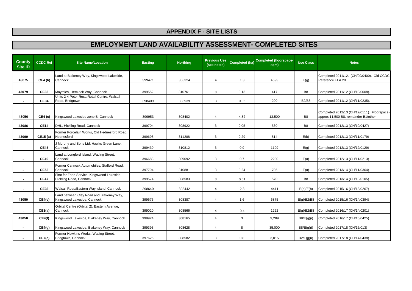| <b>County</b><br><b>Site ID</b> | CCDC Ref    | <b>Site Name/Location</b>                                               | <b>Easting</b> | <b>Northing</b> | <b>Previous Use</b><br>(see notes) | <b>Completed (ha)</b> | <b>Completed (floorspace-</b><br>sqm) | <b>Use Class</b> | <b>Notes</b>                                                                        |
|---------------------------------|-------------|-------------------------------------------------------------------------|----------------|-----------------|------------------------------------|-----------------------|---------------------------------------|------------------|-------------------------------------------------------------------------------------|
| 43075                           | CE4(b)      | Land at Blakeney Way, Kingswood Lakeside,<br>Cannock                    | 399471         | 308324          | 4                                  | 1.3                   | 4593                                  | E(g)             | Completed 2011/12. (CH/09/0400). Old CCDC<br>Reference ELA 20.                      |
| 43079                           | <b>CE33</b> | Maymies, Hemlock Way, Cannock                                           | 399552         | 310761          | 3                                  | 0.13                  | 417                                   | B <sub>8</sub>   | Completed 2011/12 (CH/10/0008).                                                     |
| $\blacksquare$                  | <b>CE34</b> | Units 2-4 Peter Rosa Retail Centre, Walsall<br>Road, Bridgtown          | 398409         | 308939          | 3                                  | 0.05                  | 290                                   | <b>B2/B8</b>     | Completed 2011/12 (CH/11/0235).                                                     |
| 43050                           | CE4(c)      | Kingswood Lakeside zone B, Cannock                                      | 399953         | 308402          | 4                                  | 4.82                  | 13,500                                | B <sub>8</sub>   | Completed 2012/13 (CH/12/0111). Floorspace-<br>approx 11,500 B8, remainder B1/other |
| 43086                           | <b>CE14</b> | DHL, Hickling Road, Cannock                                             | 399704         | 308922          | 3                                  | 0.05                  | 530                                   | B <sub>8</sub>   | Completed 2012/13 (CH/10/0427)                                                      |
| 43090                           | CE15 (a)    | Former Porcelain Works, Old Hednesford Road,<br>Hednesford              | 399698         | 311288          | 3                                  | 0.29                  | 814                                   | E(b)             | Completed 2012/13 (CH/11/0179)                                                      |
|                                 | <b>CE45</b> | J Murphy and Sons Ltd, Hawks Green Lane,<br>Cannock                     | 399430         | 310812          | 3                                  | 0.9                   | 1109                                  | E(g)             | Completed 2012/13 (CH/12/0129)                                                      |
|                                 | <b>CE49</b> | Land at Longford Island, Watling Street,<br>Cannock                     | 396683         | 309092          | 3                                  | 0.7                   | 2200                                  | E(a)             | Completed 2012/13 (CH/11/0213)                                                      |
|                                 | <b>CE53</b> | Former Cannock Automobiles, Stafford Road,<br>Cannock                   | 397794         | 310881          | 3                                  | 0.24                  | 705                                   | E(a)             | Completed 2013/14 (CH/11/0364)                                                      |
|                                 | <b>CE47</b> | First for Food Service, Kingswood Lakeside,<br>Hickling Road, Cannock   | 399574         | 308583          | 3                                  | 0.01                  | 570                                   | B <sub>8</sub>   | Completed 2013/14 (CH/13/0105)                                                      |
| $\blacksquare$                  | <b>CE36</b> | Walsall Road/Eastern Way Island, Cannock                                | 398640         | 308442          | 4                                  | 2.3                   | 4411                                  | E(a)/E(b)        | Completed 2015/16 (CH/13/0267)                                                      |
| 43050                           | CE4(e)      | Land between Cley Road and Blakeney Way,<br>Kingswood Lakeside, Cannock | 399675         | 308387          | 4                                  | 1.6                   | 6875                                  | E(q)/B2/B8       | Completed 2015/16 (CH/14/0394)                                                      |
| $\blacksquare$                  | CE1(a)      | Orbital Centre (Orbital 2), Eastern Avenue,<br>Cannock                  | 399020         | 308566          | 4                                  | 0.4                   | 1262                                  | E(g)/B2/B8       | Completed 2016/17 (CH/14/0201)                                                      |
| 43050                           | CE4(f)      | Kingswood Lakeside, Blakeney Way, Cannock                               | 399924         | 308165          | $\overline{4}$                     | 3                     | 9,289                                 | B8/E(g)(i)       | Completed 2016/17 (CH/15/0425)                                                      |
| $\blacksquare$                  | CE4(g)      | Kingswood Lakeside, Blakeney Way, Cannock                               | 399393         | 308628          | 4                                  | 8                     | 35,000                                | B8/E(g)(i)       | Completed 2017/18 (CH/16/013)                                                       |
|                                 | CE7(c)      | Former Hawkins Works, Watling Street,<br>Bridgtown, Cannock             | 397625         | 308582          | 3                                  | 0.8                   | 3,015                                 | B2/E(g)(i)       | Completed 2017/18 (CH/14/0438)                                                      |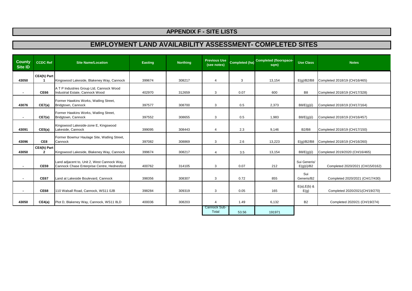| <b>County</b><br><b>Site ID</b> | <b>CCDC Ref</b>             | <b>Site Name/Location</b>                                                                  | <b>Easting</b> | <b>Northing</b> | <b>Previous Use</b><br>(see notes) | <b>Completed (ha)</b> | <b>Completed (floorspace-</b><br>sqm) | <b>Use Class</b>           | <b>Notes</b>                     |
|---------------------------------|-----------------------------|--------------------------------------------------------------------------------------------|----------------|-----------------|------------------------------------|-----------------------|---------------------------------------|----------------------------|----------------------------------|
| 43050                           | CE4(h) Part                 | Kingswood Lakeside, Blakeney Way, Cannock                                                  | 399674         | 308217          | $\overline{4}$                     | 3                     | 13,154                                | E(g)/B2/B8                 | Completed 2018/19 (CH/16/465)    |
| $\blacksquare$                  | <b>CE66</b>                 | A T P Industries Group Ltd, Cannock Wood<br>Industrial Estate, Cannock Wood                | 402970         | 312659          | 3                                  | 0.07                  | 600                                   | B <sub>8</sub>             | Completed 2018/19 (CH/17/328)    |
| 43076                           | CE7(a)                      | Former Hawkins Works, Watling Street,<br>Bridgtown, Cannock                                | 397577         | 308700          | 3                                  | 0.5                   | 2,373                                 | B8/E(g)(i)                 | Completed 2018/19 (CH/17/164)    |
| $\blacksquare$                  | CE7(e)                      | Former Hawkins Works, Watling Street,<br>Bridgtown, Cannock                                | 397552         | 308655          | 3                                  | 0.5                   | 1,983                                 | B8/E(g)(i)                 | Completed 2018/19 (CH/16/457)    |
| 43091                           | CE5(a)                      | Kingswood Lakeside-zone E, Kingswood<br>Lakeside, Cannock                                  | 399095         | 308443          | $\overline{4}$                     | 2.3                   | 9,146                                 | <b>B2/B8</b>               | Completed 2018/19 (CH/17/150)    |
| 43096                           | CE8                         | Former Bowmur Haulage Site, Watling Street,<br>Cannock                                     | 397082         | 308869          | 3                                  | 2.6                   | 13,223                                | E(g)/B2/B8                 | Completed 2018/19 (CH/16/260)    |
| 43050                           | CE4(h) Part<br>$\mathbf{2}$ | Kingswood Lakeside, Blakeney Way, Cannock                                                  | 399674         | 308217          | 4                                  | 3.5                   | 13,154                                | B8/E(g)(i)                 | Completed 2019/2020 (CH/16/465)  |
|                                 | <b>CE59</b>                 | Land adjacent to, Unit 2, West Cannock Way,<br>Cannock Chase Enterprise Centre, Hednesford | 400762         | 314105          | 3                                  | 0.07                  | 212                                   | Sui Generis/<br>E(g)(i)/B2 | Completed 2020/2021 (CH/15/0162) |
| $\blacksquare$                  | <b>CE67</b>                 | Land at Lakeside Boulevard, Cannock                                                        | 398356         | 308307          | 3                                  | 0.72                  | 855                                   | Sui<br>Generis/B2          | Completed 2020/2021 (CH/17/430)  |
| $\sim$                          | <b>CE68</b>                 | 110 Walsall Road, Cannock, WS11 0JB                                                        | 398284         | 309319          | 3                                  | 0.05                  | 165                                   | $E(a), E(b)$ &<br>E(g)     | Completed 2020/2021(CH/19/270)   |
| 43050                           | CE4(a)                      | Plot D, Blakeney Way, Cannock, WS11 8LD                                                    | 400036         | 308203          | $\Delta$                           | 1.49                  | 6,132                                 | <b>B2</b>                  | Completed 2020/21 (CH/19/274)    |
|                                 |                             |                                                                                            |                |                 | Cannock Sub-<br>Total              | 53.56                 | 191971                                |                            |                                  |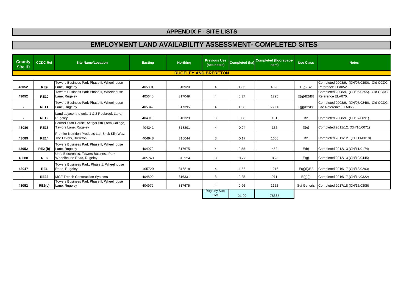| <b>County</b><br><b>Site ID</b> | <b>CCDC Ref</b> | <b>Site Name/Location</b>                                               | <b>Easting</b> | <b>Northing</b>             | <b>Previous Use</b><br>(see notes) | <b>Completed (ha)</b> | <b>Completed (floorspace-</b><br>sqm) | <b>Use Class</b> | <b>Notes</b>                                                       |
|---------------------------------|-----------------|-------------------------------------------------------------------------|----------------|-----------------------------|------------------------------------|-----------------------|---------------------------------------|------------------|--------------------------------------------------------------------|
|                                 |                 |                                                                         |                | <b>RUGELEY AND BRERETON</b> |                                    |                       |                                       |                  |                                                                    |
| 43052                           | RE9             | Towers Business Park Phase II, Wheelhouse<br>Lane, Rugeley              | 405801         | 316920                      | 4                                  | 1.86                  | 4823                                  | E(g)/B2          | Completed 2008/9. (CH/07/0390). Old CCDC<br>Reference ELA052.      |
| 43052                           | <b>RE10</b>     | Towers Business Park Phase II, Wheelhouse<br>Lane, Rugeley              | 405640         | 317049                      | 4                                  | 0.37                  | 1795                                  | E(g)/B2/B8       | Completed 2008/9. (CH/06/0255). Old CCDC<br>Reference ELA070.      |
|                                 | <b>RE11</b>     | Towers Business Park Phase II, Wheelhouse<br>Lane, Rugeley              | 405342         | 317395                      | 4                                  | 15.8                  | 65000                                 | E(q)/B2/B8       | Completed 2008/9. (CH/07/0246). Old CCDC<br>Site Reference ELA065. |
|                                 | <b>RE12</b>     | Land adjacent to units 1 & 2 Redbrook Lane,<br>Rugeley                  | 404919         | 316329                      | 3                                  | 0.08                  | 131                                   | <b>B2</b>        | Completed 2008/9. (CH/07/0091).                                    |
| 43080                           | <b>RE13</b>     | Former Staff House, Aelfgar 6th Form College,<br>Taylors Lane, Rugeley  | 404341         | 318291                      | 4                                  | 0.04                  | 336                                   | E(g)             | Completed 2011/12. (CH/10/0071)                                    |
| 43089                           | <b>RE14</b>     | Premier Nutrition Products Ltd, Brick Kiln Way,<br>The Levels, Brereton | 404948         | 316044                      | 3                                  | 0.17                  | 1650                                  | <b>B2</b>        | Completed 2011/12. (CH/11/0018).                                   |
| 43052                           | <b>RE2 (b)</b>  | Towers Business Park Phase II, Wheelhouse<br>Lane, Rugeley              | 404972         | 317675                      | 4                                  | 0.55                  | 452                                   | E(b)             | Completed 2012/13 (CH/11/0174)                                     |
| 43088                           | RE <sub>6</sub> | Ultra Electronics. Towers Business Park.<br>Wheelhouse Road, Rugeley    | 405743         | 316924                      | 3                                  | 0.27                  | 859                                   | E(g)             | Completed 2012/13 (CH/10/0445)                                     |
| 43047                           | RE <sub>1</sub> | Towers Business Park, Phase 1, Wheelhouse<br>Road, Rugeley              | 405720         | 316819                      | 4                                  | 1.65                  | 1216                                  | E(g)(i)/B2       | Completed 2016/17 (CH/13/0293)                                     |
| $\blacksquare$                  | <b>RE22</b>     | <b>MGF Trench Construction Systems</b>                                  | 404800         | 316331                      | 3                                  | 0.25                  | 971                                   | E(g)(i)          | Completed 2016/17 (CH/14/0322)                                     |
| 43052                           | RE2(c)          | Towers Business Park Phase II, Wheelhouse<br>Lane, Rugeley              | 404972         | 317675                      | 4                                  | 0.96                  | 1152                                  | Sui Generis      | Completed 2017/18 (CH/15/0305)                                     |
|                                 |                 |                                                                         |                |                             | <b>Rugeley Sub-</b><br>Total       | 21.99                 | 78385                                 |                  |                                                                    |